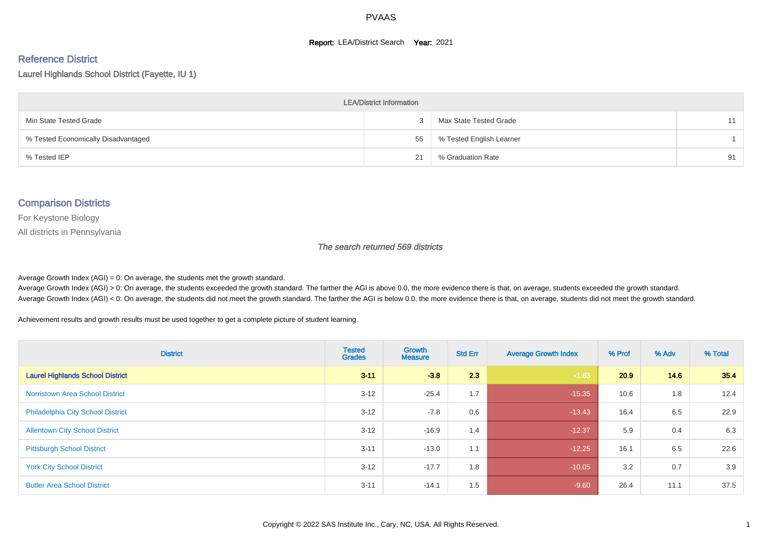#### **Report: LEA/District Search Year: 2021**

#### Reference District

Laurel Highlands School District (Fayette, IU 1)

| <b>LEA/District Information</b>     |    |                          |    |  |  |  |  |  |  |  |
|-------------------------------------|----|--------------------------|----|--|--|--|--|--|--|--|
| Min State Tested Grade              |    | Max State Tested Grade   | 11 |  |  |  |  |  |  |  |
| % Tested Economically Disadvantaged | 55 | % Tested English Learner |    |  |  |  |  |  |  |  |
| % Tested IEP                        | 21 | % Graduation Rate        | 91 |  |  |  |  |  |  |  |

#### Comparison Districts

For Keystone Biology

All districts in Pennsylvania

The search returned 569 districts

Average Growth Index  $(AGI) = 0$ : On average, the students met the growth standard.

Average Growth Index (AGI) > 0: On average, the students exceeded the growth standard. The farther the AGI is above 0.0, the more evidence there is that, on average, students exceeded the growth standard. Average Growth Index (AGI) < 0: On average, the students did not meet the growth standard. The farther the AGI is below 0.0, the more evidence there is that, on average, students did not meet the growth standard.

Achievement results and growth results must be used together to get a complete picture of student learning.

| <b>District</b>                          | <b>Tested</b><br><b>Grades</b> | Growth<br><b>Measure</b> | <b>Std Err</b> | <b>Average Growth Index</b> | % Prof | % Adv | % Total |
|------------------------------------------|--------------------------------|--------------------------|----------------|-----------------------------|--------|-------|---------|
| <b>Laurel Highlands School District</b>  | $3 - 11$                       | $-3.8$                   | 2.3            | $-1.63$                     | 20.9   | 14.6  | 35.4    |
| <b>Norristown Area School District</b>   | $3 - 12$                       | $-25.4$                  | 1.7            | $-15.35$                    | 10.6   | 1.8   | 12.4    |
| <b>Philadelphia City School District</b> | $3 - 12$                       | $-7.8$                   | 0.6            | $-13.43$                    | 16.4   | 6.5   | 22.9    |
| <b>Allentown City School District</b>    | $3 - 12$                       | $-16.9$                  | 1.4            | $-12.37$                    | 5.9    | 0.4   | 6.3     |
| <b>Pittsburgh School District</b>        | $3 - 11$                       | $-13.0$                  | 1.1            | $-12.25$                    | 16.1   | 6.5   | 22.6    |
| <b>York City School District</b>         | $3 - 12$                       | $-17.7$                  | 1.8            | $-10.05$                    | 3.2    | 0.7   | 3.9     |
| <b>Butler Area School District</b>       | $3 - 11$                       | $-14.1$                  | 1.5            | $-9.60$                     | 26.4   | 11.1  | 37.5    |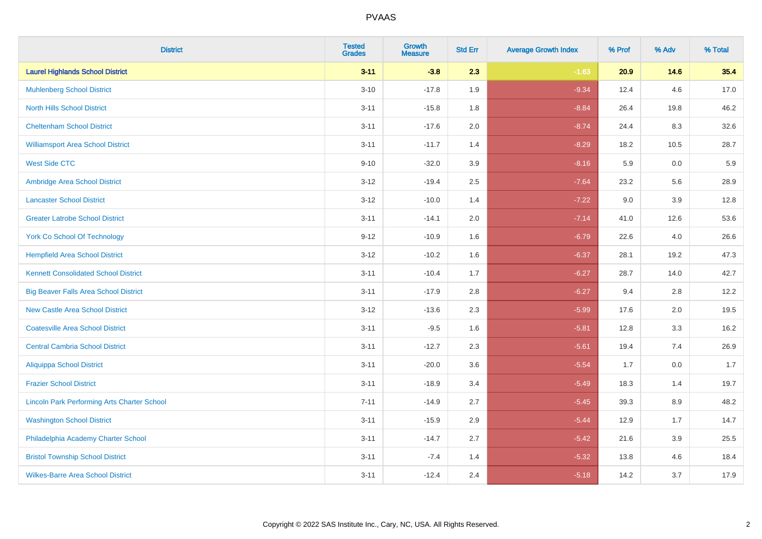| <b>District</b>                                    | <b>Tested</b><br><b>Grades</b> | <b>Growth</b><br><b>Measure</b> | <b>Std Err</b> | <b>Average Growth Index</b> | % Prof | % Adv   | % Total |
|----------------------------------------------------|--------------------------------|---------------------------------|----------------|-----------------------------|--------|---------|---------|
| <b>Laurel Highlands School District</b>            | $3 - 11$                       | $-3.8$                          | 2.3            | $-1.63$                     | 20.9   | 14.6    | 35.4    |
| <b>Muhlenberg School District</b>                  | $3 - 10$                       | $-17.8$                         | 1.9            | $-9.34$                     | 12.4   | 4.6     | 17.0    |
| <b>North Hills School District</b>                 | $3 - 11$                       | $-15.8$                         | 1.8            | $-8.84$                     | 26.4   | 19.8    | 46.2    |
| <b>Cheltenham School District</b>                  | $3 - 11$                       | $-17.6$                         | 2.0            | $-8.74$                     | 24.4   | 8.3     | 32.6    |
| <b>Williamsport Area School District</b>           | $3 - 11$                       | $-11.7$                         | 1.4            | $-8.29$                     | 18.2   | 10.5    | 28.7    |
| <b>West Side CTC</b>                               | $9 - 10$                       | $-32.0$                         | 3.9            | $-8.16$                     | 5.9    | 0.0     | 5.9     |
| Ambridge Area School District                      | $3 - 12$                       | $-19.4$                         | 2.5            | $-7.64$                     | 23.2   | 5.6     | 28.9    |
| <b>Lancaster School District</b>                   | $3 - 12$                       | $-10.0$                         | 1.4            | $-7.22$                     | 9.0    | 3.9     | 12.8    |
| <b>Greater Latrobe School District</b>             | $3 - 11$                       | $-14.1$                         | 2.0            | $-7.14$                     | 41.0   | 12.6    | 53.6    |
| <b>York Co School Of Technology</b>                | $9 - 12$                       | $-10.9$                         | 1.6            | $-6.79$                     | 22.6   | 4.0     | 26.6    |
| <b>Hempfield Area School District</b>              | $3 - 12$                       | $-10.2$                         | 1.6            | $-6.37$                     | 28.1   | 19.2    | 47.3    |
| <b>Kennett Consolidated School District</b>        | $3 - 11$                       | $-10.4$                         | 1.7            | $-6.27$                     | 28.7   | 14.0    | 42.7    |
| <b>Big Beaver Falls Area School District</b>       | $3 - 11$                       | $-17.9$                         | 2.8            | $-6.27$                     | 9.4    | 2.8     | 12.2    |
| <b>New Castle Area School District</b>             | $3 - 12$                       | $-13.6$                         | 2.3            | $-5.99$                     | 17.6   | 2.0     | 19.5    |
| <b>Coatesville Area School District</b>            | $3 - 11$                       | $-9.5$                          | 1.6            | $-5.81$                     | 12.8   | 3.3     | 16.2    |
| <b>Central Cambria School District</b>             | $3 - 11$                       | $-12.7$                         | 2.3            | $-5.61$                     | 19.4   | 7.4     | 26.9    |
| <b>Aliquippa School District</b>                   | $3 - 11$                       | $-20.0$                         | 3.6            | $-5.54$                     | 1.7    | 0.0     | 1.7     |
| <b>Frazier School District</b>                     | $3 - 11$                       | $-18.9$                         | 3.4            | $-5.49$                     | 18.3   | 1.4     | 19.7    |
| <b>Lincoln Park Performing Arts Charter School</b> | $7 - 11$                       | $-14.9$                         | 2.7            | $-5.45$                     | 39.3   | 8.9     | 48.2    |
| <b>Washington School District</b>                  | $3 - 11$                       | $-15.9$                         | 2.9            | $-5.44$                     | 12.9   | 1.7     | 14.7    |
| Philadelphia Academy Charter School                | $3 - 11$                       | $-14.7$                         | 2.7            | $-5.42$                     | 21.6   | $3.9\,$ | 25.5    |
| <b>Bristol Township School District</b>            | $3 - 11$                       | $-7.4$                          | 1.4            | $-5.32$                     | 13.8   | 4.6     | 18.4    |
| <b>Wilkes-Barre Area School District</b>           | $3 - 11$                       | $-12.4$                         | 2.4            | $-5.18$                     | 14.2   | 3.7     | 17.9    |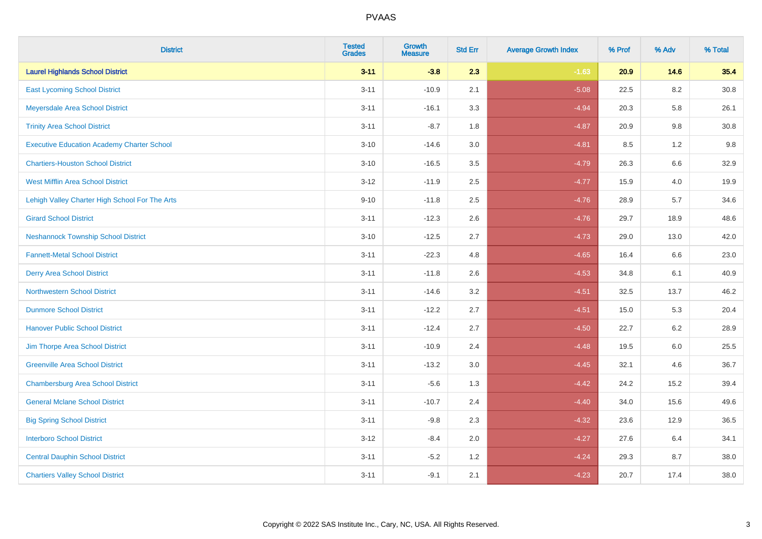| <b>District</b>                                   | <b>Tested</b><br><b>Grades</b> | Growth<br><b>Measure</b> | <b>Std Err</b> | <b>Average Growth Index</b> | % Prof | % Adv   | % Total |
|---------------------------------------------------|--------------------------------|--------------------------|----------------|-----------------------------|--------|---------|---------|
| <b>Laurel Highlands School District</b>           | $3 - 11$                       | $-3.8$                   | 2.3            | $-1.63$                     | 20.9   | 14.6    | 35.4    |
| <b>East Lycoming School District</b>              | $3 - 11$                       | $-10.9$                  | 2.1            | $-5.08$                     | 22.5   | 8.2     | 30.8    |
| Meyersdale Area School District                   | $3 - 11$                       | $-16.1$                  | 3.3            | $-4.94$                     | 20.3   | 5.8     | 26.1    |
| <b>Trinity Area School District</b>               | $3 - 11$                       | $-8.7$                   | 1.8            | $-4.87$                     | 20.9   | 9.8     | 30.8    |
| <b>Executive Education Academy Charter School</b> | $3 - 10$                       | $-14.6$                  | 3.0            | $-4.81$                     | 8.5    | 1.2     | 9.8     |
| <b>Chartiers-Houston School District</b>          | $3 - 10$                       | $-16.5$                  | 3.5            | $-4.79$                     | 26.3   | $6.6\,$ | 32.9    |
| <b>West Mifflin Area School District</b>          | $3 - 12$                       | $-11.9$                  | 2.5            | $-4.77$                     | 15.9   | 4.0     | 19.9    |
| Lehigh Valley Charter High School For The Arts    | $9 - 10$                       | $-11.8$                  | 2.5            | $-4.76$                     | 28.9   | 5.7     | 34.6    |
| <b>Girard School District</b>                     | $3 - 11$                       | $-12.3$                  | 2.6            | $-4.76$                     | 29.7   | 18.9    | 48.6    |
| <b>Neshannock Township School District</b>        | $3 - 10$                       | $-12.5$                  | 2.7            | $-4.73$                     | 29.0   | 13.0    | 42.0    |
| <b>Fannett-Metal School District</b>              | $3 - 11$                       | $-22.3$                  | 4.8            | $-4.65$                     | 16.4   | 6.6     | 23.0    |
| <b>Derry Area School District</b>                 | $3 - 11$                       | $-11.8$                  | 2.6            | $-4.53$                     | 34.8   | 6.1     | 40.9    |
| <b>Northwestern School District</b>               | $3 - 11$                       | $-14.6$                  | 3.2            | $-4.51$                     | 32.5   | 13.7    | 46.2    |
| <b>Dunmore School District</b>                    | $3 - 11$                       | $-12.2$                  | 2.7            | $-4.51$                     | 15.0   | 5.3     | 20.4    |
| <b>Hanover Public School District</b>             | $3 - 11$                       | $-12.4$                  | 2.7            | $-4.50$                     | 22.7   | $6.2\,$ | 28.9    |
| Jim Thorpe Area School District                   | $3 - 11$                       | $-10.9$                  | 2.4            | $-4.48$                     | 19.5   | 6.0     | 25.5    |
| <b>Greenville Area School District</b>            | $3 - 11$                       | $-13.2$                  | 3.0            | $-4.45$                     | 32.1   | 4.6     | 36.7    |
| <b>Chambersburg Area School District</b>          | $3 - 11$                       | $-5.6$                   | 1.3            | $-4.42$                     | 24.2   | 15.2    | 39.4    |
| <b>General Mclane School District</b>             | $3 - 11$                       | $-10.7$                  | 2.4            | $-4.40$                     | 34.0   | 15.6    | 49.6    |
| <b>Big Spring School District</b>                 | $3 - 11$                       | $-9.8$                   | 2.3            | $-4.32$                     | 23.6   | 12.9    | 36.5    |
| <b>Interboro School District</b>                  | $3 - 12$                       | $-8.4$                   | 2.0            | $-4.27$                     | 27.6   | 6.4     | 34.1    |
| <b>Central Dauphin School District</b>            | $3 - 11$                       | $-5.2$                   | 1.2            | $-4.24$                     | 29.3   | 8.7     | 38.0    |
| <b>Chartiers Valley School District</b>           | $3 - 11$                       | $-9.1$                   | 2.1            | $-4.23$                     | 20.7   | 17.4    | 38.0    |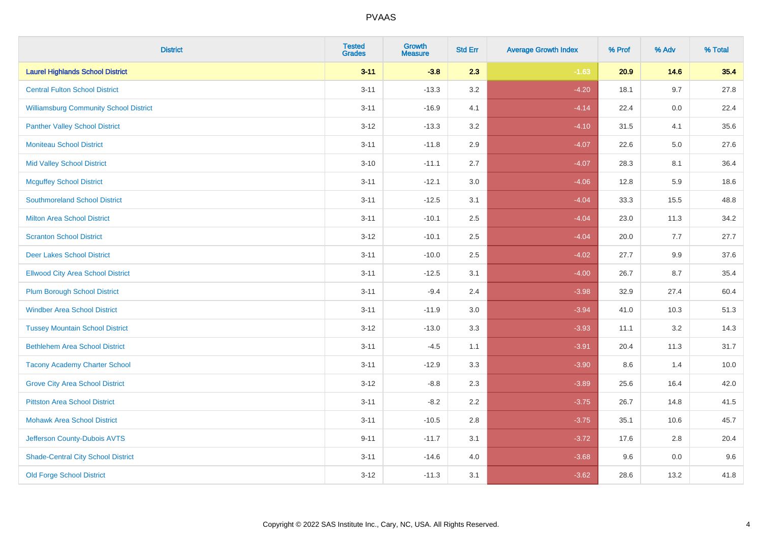| <b>District</b>                               | <b>Tested</b><br><b>Grades</b> | Growth<br><b>Measure</b> | <b>Std Err</b> | <b>Average Growth Index</b> | % Prof | % Adv | % Total |
|-----------------------------------------------|--------------------------------|--------------------------|----------------|-----------------------------|--------|-------|---------|
| <b>Laurel Highlands School District</b>       | $3 - 11$                       | $-3.8$                   | 2.3            | $-1.63$                     | 20.9   | 14.6  | 35.4    |
| <b>Central Fulton School District</b>         | $3 - 11$                       | $-13.3$                  | 3.2            | $-4.20$                     | 18.1   | 9.7   | 27.8    |
| <b>Williamsburg Community School District</b> | $3 - 11$                       | $-16.9$                  | 4.1            | $-4.14$                     | 22.4   | 0.0   | 22.4    |
| <b>Panther Valley School District</b>         | $3 - 12$                       | $-13.3$                  | 3.2            | $-4.10$                     | 31.5   | 4.1   | 35.6    |
| <b>Moniteau School District</b>               | $3 - 11$                       | $-11.8$                  | 2.9            | $-4.07$                     | 22.6   | 5.0   | 27.6    |
| <b>Mid Valley School District</b>             | $3 - 10$                       | $-11.1$                  | 2.7            | $-4.07$                     | 28.3   | 8.1   | 36.4    |
| <b>Mcguffey School District</b>               | $3 - 11$                       | $-12.1$                  | 3.0            | $-4.06$                     | 12.8   | 5.9   | 18.6    |
| <b>Southmoreland School District</b>          | $3 - 11$                       | $-12.5$                  | 3.1            | $-4.04$                     | 33.3   | 15.5  | 48.8    |
| <b>Milton Area School District</b>            | $3 - 11$                       | $-10.1$                  | 2.5            | $-4.04$                     | 23.0   | 11.3  | 34.2    |
| <b>Scranton School District</b>               | $3 - 12$                       | $-10.1$                  | 2.5            | $-4.04$                     | 20.0   | 7.7   | 27.7    |
| <b>Deer Lakes School District</b>             | $3 - 11$                       | $-10.0$                  | 2.5            | $-4.02$                     | 27.7   | 9.9   | 37.6    |
| <b>Ellwood City Area School District</b>      | $3 - 11$                       | $-12.5$                  | 3.1            | $-4.00$                     | 26.7   | 8.7   | 35.4    |
| <b>Plum Borough School District</b>           | $3 - 11$                       | $-9.4$                   | 2.4            | $-3.98$                     | 32.9   | 27.4  | 60.4    |
| <b>Windber Area School District</b>           | $3 - 11$                       | $-11.9$                  | 3.0            | $-3.94$                     | 41.0   | 10.3  | 51.3    |
| <b>Tussey Mountain School District</b>        | $3 - 12$                       | $-13.0$                  | 3.3            | $-3.93$                     | 11.1   | 3.2   | 14.3    |
| <b>Bethlehem Area School District</b>         | $3 - 11$                       | $-4.5$                   | 1.1            | $-3.91$                     | 20.4   | 11.3  | 31.7    |
| <b>Tacony Academy Charter School</b>          | $3 - 11$                       | $-12.9$                  | 3.3            | $-3.90$                     | 8.6    | 1.4   | 10.0    |
| <b>Grove City Area School District</b>        | $3-12$                         | $-8.8$                   | 2.3            | $-3.89$                     | 25.6   | 16.4  | 42.0    |
| <b>Pittston Area School District</b>          | $3 - 11$                       | $-8.2$                   | 2.2            | $-3.75$                     | 26.7   | 14.8  | 41.5    |
| <b>Mohawk Area School District</b>            | $3 - 11$                       | $-10.5$                  | 2.8            | $-3.75$                     | 35.1   | 10.6  | 45.7    |
| Jefferson County-Dubois AVTS                  | $9 - 11$                       | $-11.7$                  | 3.1            | $-3.72$                     | 17.6   | 2.8   | 20.4    |
| <b>Shade-Central City School District</b>     | $3 - 11$                       | $-14.6$                  | 4.0            | $-3.68$                     | 9.6    | 0.0   | 9.6     |
| <b>Old Forge School District</b>              | $3 - 12$                       | $-11.3$                  | 3.1            | $-3.62$                     | 28.6   | 13.2  | 41.8    |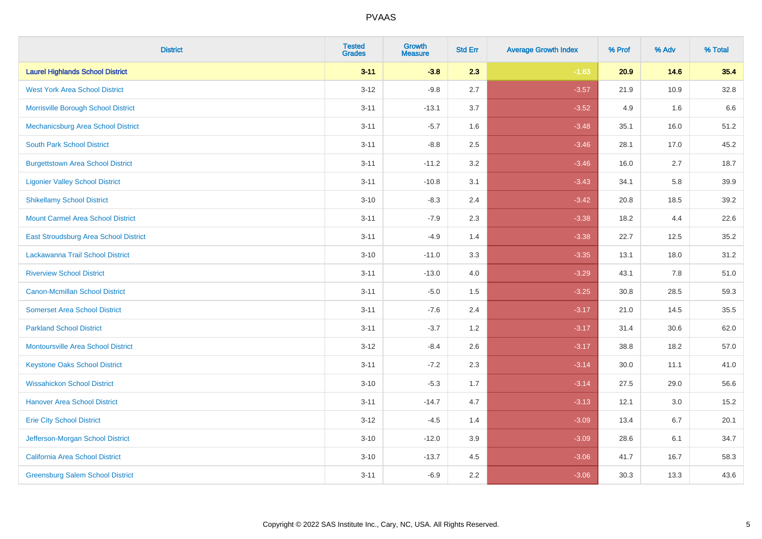| <b>District</b>                              | <b>Tested</b><br><b>Grades</b> | <b>Growth</b><br><b>Measure</b> | <b>Std Err</b> | <b>Average Growth Index</b> | % Prof | % Adv | % Total |
|----------------------------------------------|--------------------------------|---------------------------------|----------------|-----------------------------|--------|-------|---------|
| <b>Laurel Highlands School District</b>      | $3 - 11$                       | $-3.8$                          | 2.3            | $-1.63$                     | 20.9   | 14.6  | 35.4    |
| <b>West York Area School District</b>        | $3 - 12$                       | $-9.8$                          | 2.7            | $-3.57$                     | 21.9   | 10.9  | 32.8    |
| Morrisville Borough School District          | $3 - 11$                       | $-13.1$                         | 3.7            | $-3.52$                     | 4.9    | 1.6   | 6.6     |
| Mechanicsburg Area School District           | $3 - 11$                       | $-5.7$                          | 1.6            | $-3.48$                     | 35.1   | 16.0  | 51.2    |
| <b>South Park School District</b>            | $3 - 11$                       | $-8.8$                          | 2.5            | $-3.46$                     | 28.1   | 17.0  | 45.2    |
| <b>Burgettstown Area School District</b>     | $3 - 11$                       | $-11.2$                         | 3.2            | $-3.46$                     | 16.0   | 2.7   | 18.7    |
| <b>Ligonier Valley School District</b>       | $3 - 11$                       | $-10.8$                         | 3.1            | $-3.43$                     | 34.1   | 5.8   | 39.9    |
| <b>Shikellamy School District</b>            | $3 - 10$                       | $-8.3$                          | 2.4            | $-3.42$                     | 20.8   | 18.5  | 39.2    |
| <b>Mount Carmel Area School District</b>     | $3 - 11$                       | $-7.9$                          | 2.3            | $-3.38$                     | 18.2   | 4.4   | 22.6    |
| <b>East Stroudsburg Area School District</b> | $3 - 11$                       | $-4.9$                          | 1.4            | $-3.38$                     | 22.7   | 12.5  | 35.2    |
| Lackawanna Trail School District             | $3 - 10$                       | $-11.0$                         | 3.3            | $-3.35$                     | 13.1   | 18.0  | 31.2    |
| <b>Riverview School District</b>             | $3 - 11$                       | $-13.0$                         | 4.0            | $-3.29$                     | 43.1   | 7.8   | 51.0    |
| <b>Canon-Mcmillan School District</b>        | $3 - 11$                       | $-5.0$                          | 1.5            | $-3.25$                     | 30.8   | 28.5  | 59.3    |
| <b>Somerset Area School District</b>         | $3 - 11$                       | $-7.6$                          | 2.4            | $-3.17$                     | 21.0   | 14.5  | 35.5    |
| <b>Parkland School District</b>              | $3 - 11$                       | $-3.7$                          | 1.2            | $-3.17$                     | 31.4   | 30.6  | 62.0    |
| <b>Montoursville Area School District</b>    | $3 - 12$                       | $-8.4$                          | 2.6            | $-3.17$                     | 38.8   | 18.2  | 57.0    |
| <b>Keystone Oaks School District</b>         | $3 - 11$                       | $-7.2$                          | 2.3            | $-3.14$                     | 30.0   | 11.1  | 41.0    |
| <b>Wissahickon School District</b>           | $3 - 10$                       | $-5.3$                          | 1.7            | $-3.14$                     | 27.5   | 29.0  | 56.6    |
| <b>Hanover Area School District</b>          | $3 - 11$                       | $-14.7$                         | 4.7            | $-3.13$                     | 12.1   | 3.0   | 15.2    |
| <b>Erie City School District</b>             | $3 - 12$                       | $-4.5$                          | 1.4            | $-3.09$                     | 13.4   | 6.7   | 20.1    |
| Jefferson-Morgan School District             | $3 - 10$                       | $-12.0$                         | 3.9            | $-3.09$                     | 28.6   | 6.1   | 34.7    |
| <b>California Area School District</b>       | $3 - 10$                       | $-13.7$                         | 4.5            | $-3.06$                     | 41.7   | 16.7  | 58.3    |
| <b>Greensburg Salem School District</b>      | $3 - 11$                       | $-6.9$                          | 2.2            | $-3.06$                     | 30.3   | 13.3  | 43.6    |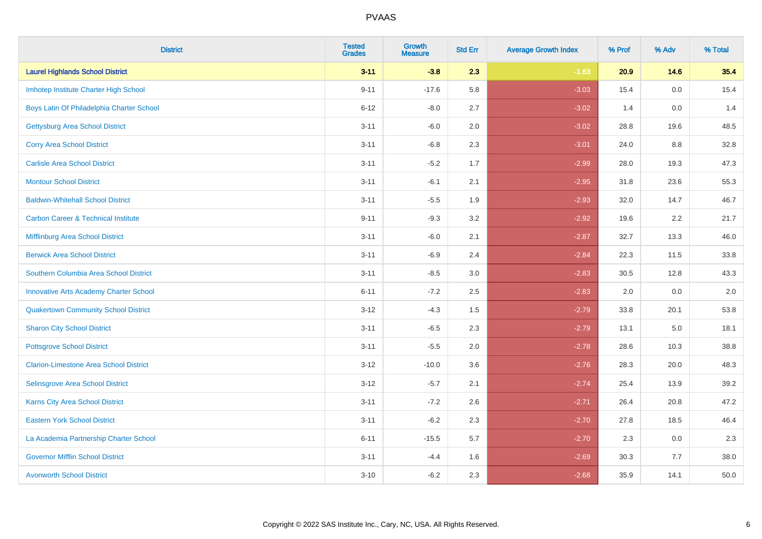| <b>District</b>                                | <b>Tested</b><br><b>Grades</b> | <b>Growth</b><br><b>Measure</b> | <b>Std Err</b> | <b>Average Growth Index</b> | % Prof | % Adv   | % Total |
|------------------------------------------------|--------------------------------|---------------------------------|----------------|-----------------------------|--------|---------|---------|
| <b>Laurel Highlands School District</b>        | $3 - 11$                       | $-3.8$                          | 2.3            | $-1.63$                     | 20.9   | 14.6    | 35.4    |
| Imhotep Institute Charter High School          | $9 - 11$                       | $-17.6$                         | 5.8            | $-3.03$                     | 15.4   | 0.0     | 15.4    |
| Boys Latin Of Philadelphia Charter School      | $6 - 12$                       | $-8.0$                          | 2.7            | $-3.02$                     | 1.4    | 0.0     | 1.4     |
| <b>Gettysburg Area School District</b>         | $3 - 11$                       | $-6.0$                          | 2.0            | $-3.02$                     | 28.8   | 19.6    | 48.5    |
| <b>Corry Area School District</b>              | $3 - 11$                       | $-6.8$                          | 2.3            | $-3.01$                     | 24.0   | 8.8     | 32.8    |
| <b>Carlisle Area School District</b>           | $3 - 11$                       | $-5.2$                          | 1.7            | $-2.99$                     | 28.0   | 19.3    | 47.3    |
| <b>Montour School District</b>                 | $3 - 11$                       | $-6.1$                          | 2.1            | $-2.95$                     | 31.8   | 23.6    | 55.3    |
| <b>Baldwin-Whitehall School District</b>       | $3 - 11$                       | $-5.5$                          | 1.9            | $-2.93$                     | 32.0   | 14.7    | 46.7    |
| <b>Carbon Career &amp; Technical Institute</b> | $9 - 11$                       | $-9.3$                          | 3.2            | $-2.92$                     | 19.6   | 2.2     | 21.7    |
| Mifflinburg Area School District               | $3 - 11$                       | $-6.0$                          | 2.1            | $-2.87$                     | 32.7   | 13.3    | 46.0    |
| <b>Berwick Area School District</b>            | $3 - 11$                       | $-6.9$                          | 2.4            | $-2.84$                     | 22.3   | 11.5    | 33.8    |
| Southern Columbia Area School District         | $3 - 11$                       | $-8.5$                          | 3.0            | $-2.83$                     | 30.5   | 12.8    | 43.3    |
| <b>Innovative Arts Academy Charter School</b>  | $6 - 11$                       | $-7.2$                          | 2.5            | $-2.83$                     | 2.0    | 0.0     | $2.0\,$ |
| <b>Quakertown Community School District</b>    | $3 - 12$                       | $-4.3$                          | $1.5$          | $-2.79$                     | 33.8   | 20.1    | 53.8    |
| <b>Sharon City School District</b>             | $3 - 11$                       | $-6.5$                          | 2.3            | $-2.79$                     | 13.1   | $5.0\,$ | 18.1    |
| <b>Pottsgrove School District</b>              | $3 - 11$                       | $-5.5$                          | 2.0            | $-2.78$                     | 28.6   | 10.3    | 38.8    |
| <b>Clarion-Limestone Area School District</b>  | $3 - 12$                       | $-10.0$                         | 3.6            | $-2.76$                     | 28.3   | 20.0    | 48.3    |
| Selinsgrove Area School District               | $3 - 12$                       | $-5.7$                          | 2.1            | $-2.74$                     | 25.4   | 13.9    | 39.2    |
| Karns City Area School District                | $3 - 11$                       | $-7.2$                          | 2.6            | $-2.71$                     | 26.4   | 20.8    | 47.2    |
| <b>Eastern York School District</b>            | $3 - 11$                       | $-6.2$                          | 2.3            | $-2.70$                     | 27.8   | 18.5    | 46.4    |
| La Academia Partnership Charter School         | $6 - 11$                       | $-15.5$                         | 5.7            | $-2.70$                     | 2.3    | 0.0     | 2.3     |
| <b>Governor Mifflin School District</b>        | $3 - 11$                       | $-4.4$                          | 1.6            | $-2.69$                     | 30.3   | 7.7     | 38.0    |
| <b>Avonworth School District</b>               | $3 - 10$                       | $-6.2$                          | 2.3            | $-2.68$                     | 35.9   | 14.1    | 50.0    |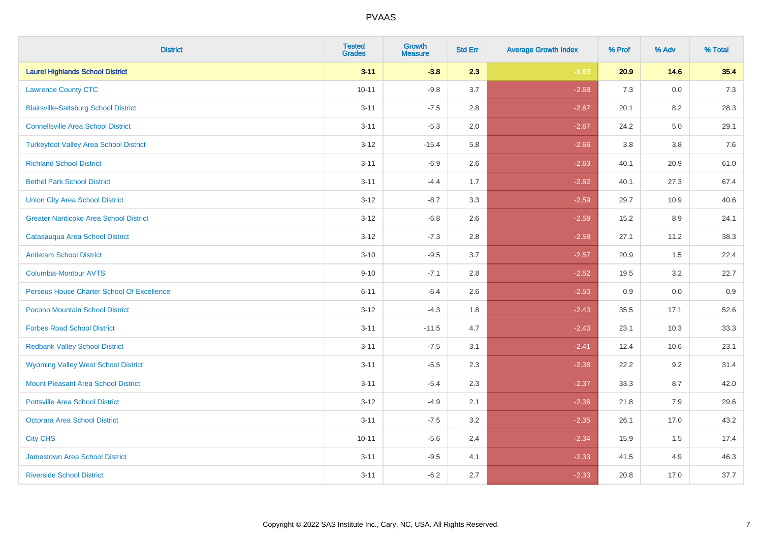| <b>District</b>                               | <b>Tested</b><br><b>Grades</b> | Growth<br><b>Measure</b> | <b>Std Err</b> | <b>Average Growth Index</b> | % Prof | % Adv   | % Total |
|-----------------------------------------------|--------------------------------|--------------------------|----------------|-----------------------------|--------|---------|---------|
| <b>Laurel Highlands School District</b>       | $3 - 11$                       | $-3.8$                   | 2.3            | $-1.63$                     | 20.9   | 14.6    | 35.4    |
| <b>Lawrence County CTC</b>                    | $10 - 11$                      | $-9.8$                   | 3.7            | $-2.68$                     | 7.3    | $0.0\,$ | 7.3     |
| <b>Blairsville-Saltsburg School District</b>  | $3 - 11$                       | $-7.5$                   | 2.8            | $-2.67$                     | 20.1   | 8.2     | 28.3    |
| <b>Connellsville Area School District</b>     | $3 - 11$                       | $-5.3$                   | 2.0            | $-2.67$                     | 24.2   | $5.0\,$ | 29.1    |
| <b>Turkeyfoot Valley Area School District</b> | $3 - 12$                       | $-15.4$                  | 5.8            | $-2.66$                     | 3.8    | 3.8     | 7.6     |
| <b>Richland School District</b>               | $3 - 11$                       | $-6.9$                   | 2.6            | $-2.63$                     | 40.1   | 20.9    | 61.0    |
| <b>Bethel Park School District</b>            | $3 - 11$                       | $-4.4$                   | 1.7            | $-2.62$                     | 40.1   | 27.3    | 67.4    |
| <b>Union City Area School District</b>        | $3 - 12$                       | $-8.7$                   | 3.3            | $-2.59$                     | 29.7   | 10.9    | 40.6    |
| <b>Greater Nanticoke Area School District</b> | $3-12$                         | $-6.8$                   | 2.6            | $-2.58$                     | 15.2   | 8.9     | 24.1    |
| Catasauqua Area School District               | $3 - 12$                       | $-7.3$                   | 2.8            | $-2.58$                     | 27.1   | 11.2    | 38.3    |
| <b>Antietam School District</b>               | $3 - 10$                       | $-9.5$                   | 3.7            | $-2.57$                     | 20.9   | 1.5     | 22.4    |
| <b>Columbia-Montour AVTS</b>                  | $9 - 10$                       | $-7.1$                   | 2.8            | $-2.52$                     | 19.5   | 3.2     | 22.7    |
| Perseus House Charter School Of Excellence    | $6 - 11$                       | $-6.4$                   | 2.6            | $-2.50$                     | 0.9    | 0.0     | 0.9     |
| Pocono Mountain School District               | $3-12$                         | $-4.3$                   | 1.8            | $-2.43$                     | 35.5   | 17.1    | 52.6    |
| <b>Forbes Road School District</b>            | $3 - 11$                       | $-11.5$                  | 4.7            | $-2.43$                     | 23.1   | 10.3    | 33.3    |
| <b>Redbank Valley School District</b>         | $3 - 11$                       | $-7.5$                   | 3.1            | $-2.41$                     | 12.4   | 10.6    | 23.1    |
| <b>Wyoming Valley West School District</b>    | $3 - 11$                       | $-5.5$                   | 2.3            | $-2.38$                     | 22.2   | 9.2     | 31.4    |
| Mount Pleasant Area School District           | $3 - 11$                       | $-5.4$                   | 2.3            | $-2.37$                     | 33.3   | 8.7     | 42.0    |
| <b>Pottsville Area School District</b>        | $3 - 12$                       | $-4.9$                   | 2.1            | $-2.36$                     | 21.8   | 7.9     | 29.6    |
| Octorara Area School District                 | $3 - 11$                       | $-7.5$                   | 3.2            | $-2.35$                     | 26.1   | 17.0    | 43.2    |
| <b>City CHS</b>                               | $10 - 11$                      | $-5.6$                   | 2.4            | $-2.34$                     | 15.9   | 1.5     | 17.4    |
| <b>Jamestown Area School District</b>         | $3 - 11$                       | $-9.5$                   | 4.1            | $-2.33$                     | 41.5   | 4.9     | 46.3    |
| <b>Riverside School District</b>              | $3 - 11$                       | $-6.2$                   | 2.7            | $-2.33$                     | 20.8   | 17.0    | 37.7    |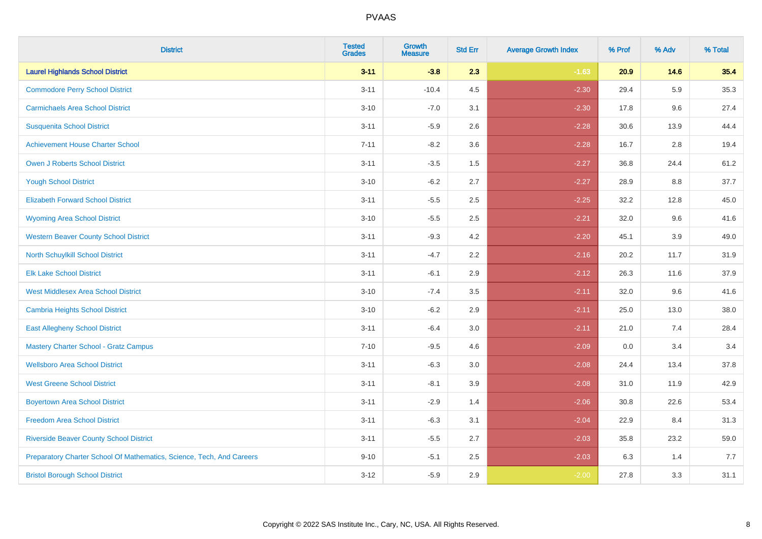| <b>District</b>                                                       | <b>Tested</b><br><b>Grades</b> | <b>Growth</b><br><b>Measure</b> | <b>Std Err</b> | <b>Average Growth Index</b> | % Prof | % Adv   | % Total |
|-----------------------------------------------------------------------|--------------------------------|---------------------------------|----------------|-----------------------------|--------|---------|---------|
| <b>Laurel Highlands School District</b>                               | $3 - 11$                       | $-3.8$                          | 2.3            | $-1.63$                     | 20.9   | 14.6    | 35.4    |
| <b>Commodore Perry School District</b>                                | $3 - 11$                       | $-10.4$                         | 4.5            | $-2.30$                     | 29.4   | 5.9     | 35.3    |
| <b>Carmichaels Area School District</b>                               | $3 - 10$                       | $-7.0$                          | 3.1            | $-2.30$                     | 17.8   | 9.6     | 27.4    |
| <b>Susquenita School District</b>                                     | $3 - 11$                       | $-5.9$                          | 2.6            | $-2.28$                     | 30.6   | 13.9    | 44.4    |
| <b>Achievement House Charter School</b>                               | $7 - 11$                       | $-8.2$                          | 3.6            | $-2.28$                     | 16.7   | 2.8     | 19.4    |
| <b>Owen J Roberts School District</b>                                 | $3 - 11$                       | $-3.5$                          | 1.5            | $-2.27$                     | 36.8   | 24.4    | 61.2    |
| <b>Yough School District</b>                                          | $3 - 10$                       | $-6.2$                          | 2.7            | $-2.27$                     | 28.9   | $8.8\,$ | 37.7    |
| <b>Elizabeth Forward School District</b>                              | $3 - 11$                       | $-5.5$                          | 2.5            | $-2.25$                     | 32.2   | 12.8    | 45.0    |
| <b>Wyoming Area School District</b>                                   | $3 - 10$                       | $-5.5$                          | 2.5            | $-2.21$                     | 32.0   | 9.6     | 41.6    |
| <b>Western Beaver County School District</b>                          | $3 - 11$                       | $-9.3$                          | 4.2            | $-2.20$                     | 45.1   | 3.9     | 49.0    |
| North Schuylkill School District                                      | $3 - 11$                       | $-4.7$                          | 2.2            | $-2.16$                     | 20.2   | 11.7    | 31.9    |
| <b>Elk Lake School District</b>                                       | $3 - 11$                       | $-6.1$                          | 2.9            | $-2.12$                     | 26.3   | 11.6    | 37.9    |
| <b>West Middlesex Area School District</b>                            | $3 - 10$                       | $-7.4$                          | $3.5\,$        | $-2.11$                     | 32.0   | 9.6     | 41.6    |
| <b>Cambria Heights School District</b>                                | $3 - 10$                       | $-6.2$                          | 2.9            | $-2.11$                     | 25.0   | 13.0    | 38.0    |
| <b>East Allegheny School District</b>                                 | $3 - 11$                       | $-6.4$                          | 3.0            | $-2.11$                     | 21.0   | 7.4     | 28.4    |
| <b>Mastery Charter School - Gratz Campus</b>                          | $7 - 10$                       | $-9.5$                          | 4.6            | $-2.09$                     | 0.0    | 3.4     | 3.4     |
| <b>Wellsboro Area School District</b>                                 | $3 - 11$                       | $-6.3$                          | 3.0            | $-2.08$                     | 24.4   | 13.4    | 37.8    |
| <b>West Greene School District</b>                                    | $3 - 11$                       | $-8.1$                          | 3.9            | $-2.08$                     | 31.0   | 11.9    | 42.9    |
| <b>Boyertown Area School District</b>                                 | $3 - 11$                       | $-2.9$                          | 1.4            | $-2.06$                     | 30.8   | 22.6    | 53.4    |
| <b>Freedom Area School District</b>                                   | $3 - 11$                       | $-6.3$                          | 3.1            | $-2.04$                     | 22.9   | 8.4     | 31.3    |
| <b>Riverside Beaver County School District</b>                        | $3 - 11$                       | $-5.5$                          | 2.7            | $-2.03$                     | 35.8   | 23.2    | 59.0    |
| Preparatory Charter School Of Mathematics, Science, Tech, And Careers | $9 - 10$                       | $-5.1$                          | 2.5            | $-2.03$                     | 6.3    | 1.4     | 7.7     |
| <b>Bristol Borough School District</b>                                | $3 - 12$                       | $-5.9$                          | 2.9            | $-2.00$                     | 27.8   | 3.3     | 31.1    |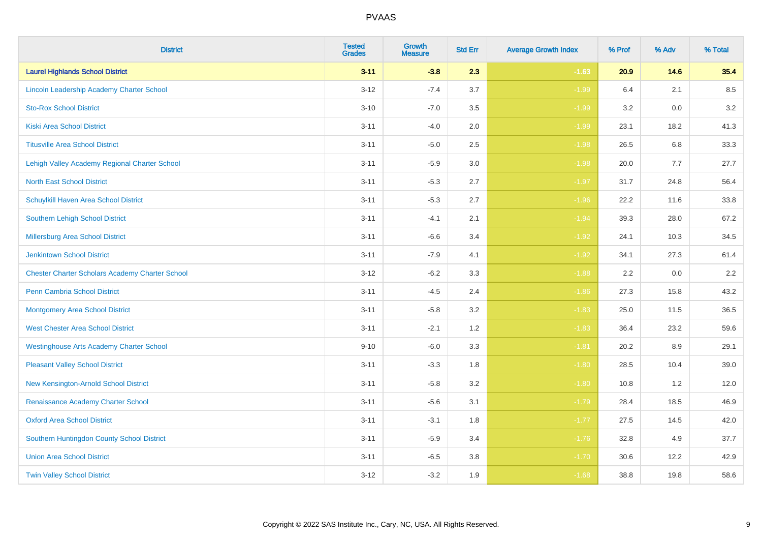| <b>District</b>                                        | <b>Tested</b><br><b>Grades</b> | Growth<br><b>Measure</b> | <b>Std Err</b> | <b>Average Growth Index</b> | % Prof | % Adv | % Total |
|--------------------------------------------------------|--------------------------------|--------------------------|----------------|-----------------------------|--------|-------|---------|
| <b>Laurel Highlands School District</b>                | $3 - 11$                       | $-3.8$                   | 2.3            | $-1.63$                     | 20.9   | 14.6  | 35.4    |
| Lincoln Leadership Academy Charter School              | $3 - 12$                       | $-7.4$                   | 3.7            | $-1.99$                     | 6.4    | 2.1   | 8.5     |
| <b>Sto-Rox School District</b>                         | $3 - 10$                       | $-7.0$                   | 3.5            | $-1.99$                     | 3.2    | 0.0   | 3.2     |
| <b>Kiski Area School District</b>                      | $3 - 11$                       | $-4.0$                   | 2.0            | $-1.99$                     | 23.1   | 18.2  | 41.3    |
| <b>Titusville Area School District</b>                 | $3 - 11$                       | $-5.0$                   | 2.5            | $-1.98$                     | 26.5   | 6.8   | 33.3    |
| Lehigh Valley Academy Regional Charter School          | $3 - 11$                       | $-5.9$                   | 3.0            | $-1.98$                     | 20.0   | 7.7   | 27.7    |
| <b>North East School District</b>                      | $3 - 11$                       | $-5.3$                   | 2.7            | $-1.97$                     | 31.7   | 24.8  | 56.4    |
| Schuylkill Haven Area School District                  | $3 - 11$                       | $-5.3$                   | 2.7            | $-1.96$                     | 22.2   | 11.6  | 33.8    |
| <b>Southern Lehigh School District</b>                 | $3 - 11$                       | $-4.1$                   | 2.1            | $-1.94$                     | 39.3   | 28.0  | 67.2    |
| Millersburg Area School District                       | $3 - 11$                       | $-6.6$                   | 3.4            | $-1.92$                     | 24.1   | 10.3  | 34.5    |
| <b>Jenkintown School District</b>                      | $3 - 11$                       | $-7.9$                   | 4.1            | $-1.92$                     | 34.1   | 27.3  | 61.4    |
| <b>Chester Charter Scholars Academy Charter School</b> | $3 - 12$                       | $-6.2$                   | 3.3            | $-1.88$                     | 2.2    | 0.0   | 2.2     |
| Penn Cambria School District                           | $3 - 11$                       | $-4.5$                   | 2.4            | $-1.86$                     | 27.3   | 15.8  | 43.2    |
| <b>Montgomery Area School District</b>                 | $3 - 11$                       | $-5.8$                   | 3.2            | $-1.83$                     | 25.0   | 11.5  | 36.5    |
| <b>West Chester Area School District</b>               | $3 - 11$                       | $-2.1$                   | 1.2            | $-1.83$                     | 36.4   | 23.2  | 59.6    |
| <b>Westinghouse Arts Academy Charter School</b>        | $9 - 10$                       | $-6.0$                   | 3.3            | $-1.81$                     | 20.2   | 8.9   | 29.1    |
| <b>Pleasant Valley School District</b>                 | $3 - 11$                       | $-3.3$                   | 1.8            | $-1.80$                     | 28.5   | 10.4  | 39.0    |
| New Kensington-Arnold School District                  | $3 - 11$                       | $-5.8$                   | 3.2            | $-1.80$                     | 10.8   | 1.2   | 12.0    |
| Renaissance Academy Charter School                     | $3 - 11$                       | $-5.6$                   | 3.1            | $-1.79$                     | 28.4   | 18.5  | 46.9    |
| <b>Oxford Area School District</b>                     | $3 - 11$                       | $-3.1$                   | 1.8            | $-1.77$                     | 27.5   | 14.5  | 42.0    |
| Southern Huntingdon County School District             | $3 - 11$                       | $-5.9$                   | 3.4            | $-1.76$                     | 32.8   | 4.9   | 37.7    |
| <b>Union Area School District</b>                      | $3 - 11$                       | $-6.5$                   | 3.8            | $-1.70$                     | 30.6   | 12.2  | 42.9    |
| <b>Twin Valley School District</b>                     | $3 - 12$                       | $-3.2$                   | 1.9            | $-1.68$                     | 38.8   | 19.8  | 58.6    |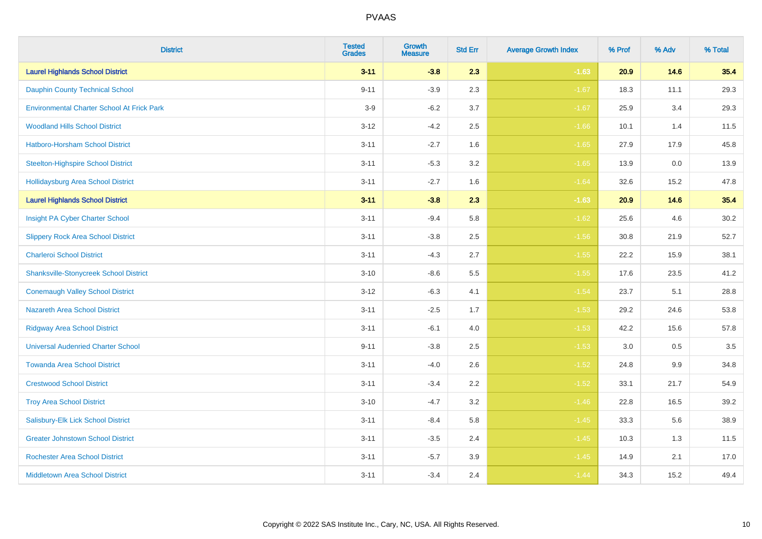| <b>District</b>                                   | <b>Tested</b><br><b>Grades</b> | <b>Growth</b><br><b>Measure</b> | <b>Std Err</b> | <b>Average Growth Index</b> | % Prof | % Adv  | % Total |
|---------------------------------------------------|--------------------------------|---------------------------------|----------------|-----------------------------|--------|--------|---------|
| <b>Laurel Highlands School District</b>           | $3 - 11$                       | $-3.8$                          | 2.3            | $-1.63$                     | 20.9   | 14.6   | 35.4    |
| <b>Dauphin County Technical School</b>            | $9 - 11$                       | $-3.9$                          | 2.3            | $-1.67$                     | 18.3   | 11.1   | 29.3    |
| <b>Environmental Charter School At Frick Park</b> | $3-9$                          | $-6.2$                          | 3.7            | $-1.67$                     | 25.9   | 3.4    | 29.3    |
| <b>Woodland Hills School District</b>             | $3 - 12$                       | $-4.2$                          | 2.5            | $-1.66$                     | 10.1   | 1.4    | 11.5    |
| Hatboro-Horsham School District                   | $3 - 11$                       | $-2.7$                          | 1.6            | $-1.65$                     | 27.9   | 17.9   | 45.8    |
| <b>Steelton-Highspire School District</b>         | $3 - 11$                       | $-5.3$                          | 3.2            | $-1.65$                     | 13.9   | 0.0    | 13.9    |
| <b>Hollidaysburg Area School District</b>         | $3 - 11$                       | $-2.7$                          | 1.6            | $-1.64$                     | 32.6   | 15.2   | 47.8    |
| <b>Laurel Highlands School District</b>           | $3 - 11$                       | $-3.8$                          | 2.3            | $-1.63$                     | 20.9   | $14.6$ | 35.4    |
| Insight PA Cyber Charter School                   | $3 - 11$                       | $-9.4$                          | 5.8            | $-1.62$                     | 25.6   | 4.6    | 30.2    |
| <b>Slippery Rock Area School District</b>         | $3 - 11$                       | $-3.8$                          | 2.5            | $-1.56$                     | 30.8   | 21.9   | 52.7    |
| <b>Charleroi School District</b>                  | $3 - 11$                       | $-4.3$                          | 2.7            | $-1.55$                     | 22.2   | 15.9   | 38.1    |
| <b>Shanksville-Stonycreek School District</b>     | $3 - 10$                       | $-8.6$                          | 5.5            | $-1.55$                     | 17.6   | 23.5   | 41.2    |
| <b>Conemaugh Valley School District</b>           | $3 - 12$                       | $-6.3$                          | 4.1            | $-1.54$                     | 23.7   | 5.1    | 28.8    |
| <b>Nazareth Area School District</b>              | $3 - 11$                       | $-2.5$                          | 1.7            | $-1.53$                     | 29.2   | 24.6   | 53.8    |
| <b>Ridgway Area School District</b>               | $3 - 11$                       | $-6.1$                          | 4.0            | $-1.53$                     | 42.2   | 15.6   | 57.8    |
| <b>Universal Audenried Charter School</b>         | $9 - 11$                       | $-3.8$                          | 2.5            | $-1.53$                     | 3.0    | 0.5    | 3.5     |
| <b>Towanda Area School District</b>               | $3 - 11$                       | $-4.0$                          | 2.6            | $-1.52$                     | 24.8   | 9.9    | 34.8    |
| <b>Crestwood School District</b>                  | $3 - 11$                       | $-3.4$                          | 2.2            | $-1.52$                     | 33.1   | 21.7   | 54.9    |
| <b>Troy Area School District</b>                  | $3 - 10$                       | $-4.7$                          | 3.2            | $-1.46$                     | 22.8   | 16.5   | 39.2    |
| Salisbury-Elk Lick School District                | $3 - 11$                       | $-8.4$                          | 5.8            | $-1.45$                     | 33.3   | 5.6    | 38.9    |
| <b>Greater Johnstown School District</b>          | $3 - 11$                       | $-3.5$                          | 2.4            | $-1.45$                     | 10.3   | 1.3    | 11.5    |
| <b>Rochester Area School District</b>             | $3 - 11$                       | $-5.7$                          | 3.9            | $-1.45$                     | 14.9   | 2.1    | 17.0    |
| <b>Middletown Area School District</b>            | $3 - 11$                       | $-3.4$                          | 2.4            | $-1.44$                     | 34.3   | 15.2   | 49.4    |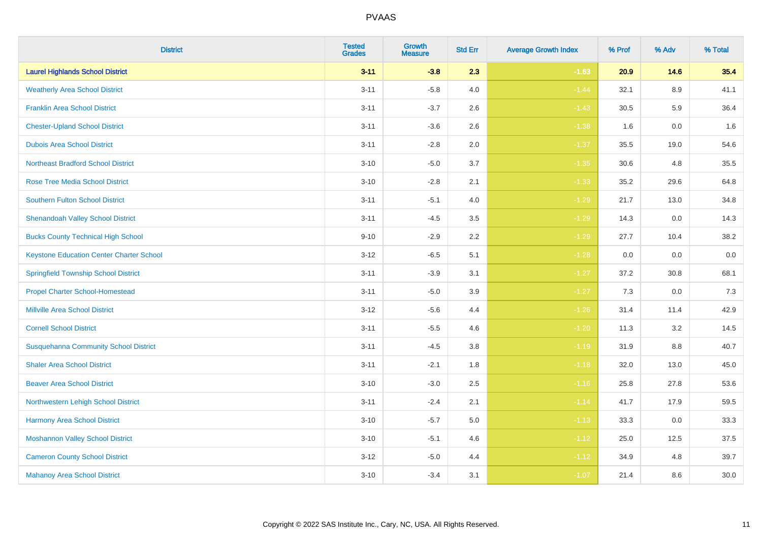| <b>District</b>                                 | <b>Tested</b><br><b>Grades</b> | <b>Growth</b><br><b>Measure</b> | <b>Std Err</b> | <b>Average Growth Index</b> | % Prof | % Adv   | % Total |
|-------------------------------------------------|--------------------------------|---------------------------------|----------------|-----------------------------|--------|---------|---------|
| <b>Laurel Highlands School District</b>         | $3 - 11$                       | $-3.8$                          | 2.3            | $-1.63$                     | 20.9   | 14.6    | 35.4    |
| <b>Weatherly Area School District</b>           | $3 - 11$                       | $-5.8$                          | 4.0            | $-1.44$                     | 32.1   | $8.9\,$ | 41.1    |
| <b>Franklin Area School District</b>            | $3 - 11$                       | $-3.7$                          | 2.6            | $-1.43$                     | 30.5   | 5.9     | 36.4    |
| <b>Chester-Upland School District</b>           | $3 - 11$                       | $-3.6$                          | 2.6            | $-1.38$                     | 1.6    | $0.0\,$ | 1.6     |
| <b>Dubois Area School District</b>              | $3 - 11$                       | $-2.8$                          | 2.0            | $-1.37$                     | 35.5   | 19.0    | 54.6    |
| <b>Northeast Bradford School District</b>       | $3 - 10$                       | $-5.0$                          | 3.7            | $-1.35$                     | 30.6   | 4.8     | 35.5    |
| <b>Rose Tree Media School District</b>          | $3 - 10$                       | $-2.8$                          | 2.1            | $-1.33$                     | 35.2   | 29.6    | 64.8    |
| <b>Southern Fulton School District</b>          | $3 - 11$                       | $-5.1$                          | 4.0            | $-1.29$                     | 21.7   | 13.0    | 34.8    |
| <b>Shenandoah Valley School District</b>        | $3 - 11$                       | $-4.5$                          | 3.5            | $-1.29$                     | 14.3   | 0.0     | 14.3    |
| <b>Bucks County Technical High School</b>       | $9 - 10$                       | $-2.9$                          | 2.2            | $-1.29$                     | 27.7   | 10.4    | 38.2    |
| <b>Keystone Education Center Charter School</b> | $3 - 12$                       | $-6.5$                          | 5.1            | $-1.28$                     | 0.0    | 0.0     | $0.0\,$ |
| <b>Springfield Township School District</b>     | $3 - 11$                       | $-3.9$                          | 3.1            | $-1.27$                     | 37.2   | 30.8    | 68.1    |
| <b>Propel Charter School-Homestead</b>          | $3 - 11$                       | $-5.0$                          | 3.9            | $-1.27$                     | 7.3    | 0.0     | $7.3$   |
| <b>Millville Area School District</b>           | $3 - 12$                       | $-5.6$                          | 4.4            | $-1.26$                     | 31.4   | 11.4    | 42.9    |
| <b>Cornell School District</b>                  | $3 - 11$                       | $-5.5$                          | 4.6            | $-1.20$                     | 11.3   | 3.2     | 14.5    |
| <b>Susquehanna Community School District</b>    | $3 - 11$                       | $-4.5$                          | $3.8\,$        | $-1.19$                     | 31.9   | $8.8\,$ | 40.7    |
| <b>Shaler Area School District</b>              | $3 - 11$                       | $-2.1$                          | 1.8            | $-1.18$                     | 32.0   | 13.0    | 45.0    |
| <b>Beaver Area School District</b>              | $3 - 10$                       | $-3.0$                          | 2.5            | $-1.16$                     | 25.8   | 27.8    | 53.6    |
| Northwestern Lehigh School District             | $3 - 11$                       | $-2.4$                          | 2.1            | $-1.14$                     | 41.7   | 17.9    | 59.5    |
| Harmony Area School District                    | $3 - 10$                       | $-5.7$                          | 5.0            | $-1.13$                     | 33.3   | 0.0     | 33.3    |
| <b>Moshannon Valley School District</b>         | $3 - 10$                       | $-5.1$                          | 4.6            | $-1.12$                     | 25.0   | 12.5    | 37.5    |
| <b>Cameron County School District</b>           | $3 - 12$                       | $-5.0$                          | 4.4            | $-1.12$                     | 34.9   | 4.8     | 39.7    |
| <b>Mahanoy Area School District</b>             | $3 - 10$                       | $-3.4$                          | 3.1            | $-1.07$                     | 21.4   | 8.6     | 30.0    |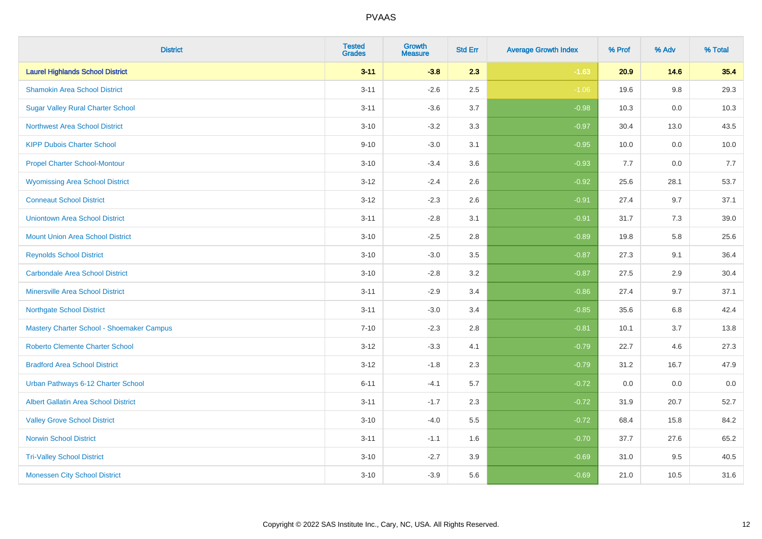| <b>District</b>                             | <b>Tested</b><br><b>Grades</b> | <b>Growth</b><br><b>Measure</b> | <b>Std Err</b> | <b>Average Growth Index</b> | % Prof | % Adv   | % Total |
|---------------------------------------------|--------------------------------|---------------------------------|----------------|-----------------------------|--------|---------|---------|
| <b>Laurel Highlands School District</b>     | $3 - 11$                       | $-3.8$                          | 2.3            | $-1.63$                     | 20.9   | 14.6    | 35.4    |
| <b>Shamokin Area School District</b>        | $3 - 11$                       | $-2.6$                          | 2.5            | $-1.06$                     | 19.6   | $9.8\,$ | 29.3    |
| <b>Sugar Valley Rural Charter School</b>    | $3 - 11$                       | $-3.6$                          | 3.7            | $-0.98$                     | 10.3   | 0.0     | 10.3    |
| <b>Northwest Area School District</b>       | $3 - 10$                       | $-3.2$                          | 3.3            | $-0.97$                     | 30.4   | 13.0    | 43.5    |
| <b>KIPP Dubois Charter School</b>           | $9 - 10$                       | $-3.0$                          | 3.1            | $-0.95$                     | 10.0   | 0.0     | 10.0    |
| <b>Propel Charter School-Montour</b>        | $3 - 10$                       | $-3.4$                          | 3.6            | $-0.93$                     | 7.7    | 0.0     | 7.7     |
| <b>Wyomissing Area School District</b>      | $3 - 12$                       | $-2.4$                          | 2.6            | $-0.92$                     | 25.6   | 28.1    | 53.7    |
| <b>Conneaut School District</b>             | $3 - 12$                       | $-2.3$                          | 2.6            | $-0.91$                     | 27.4   | 9.7     | 37.1    |
| <b>Uniontown Area School District</b>       | $3 - 11$                       | $-2.8$                          | 3.1            | $-0.91$                     | 31.7   | 7.3     | 39.0    |
| <b>Mount Union Area School District</b>     | $3 - 10$                       | $-2.5$                          | 2.8            | $-0.89$                     | 19.8   | 5.8     | 25.6    |
| <b>Reynolds School District</b>             | $3 - 10$                       | $-3.0$                          | 3.5            | $-0.87$                     | 27.3   | 9.1     | 36.4    |
| <b>Carbondale Area School District</b>      | $3 - 10$                       | $-2.8$                          | 3.2            | $-0.87$                     | 27.5   | 2.9     | 30.4    |
| <b>Minersville Area School District</b>     | $3 - 11$                       | $-2.9$                          | 3.4            | $-0.86$                     | 27.4   | 9.7     | 37.1    |
| <b>Northgate School District</b>            | $3 - 11$                       | $-3.0$                          | 3.4            | $-0.85$                     | 35.6   | 6.8     | 42.4    |
| Mastery Charter School - Shoemaker Campus   | $7 - 10$                       | $-2.3$                          | 2.8            | $-0.81$                     | 10.1   | 3.7     | 13.8    |
| <b>Roberto Clemente Charter School</b>      | $3 - 12$                       | $-3.3$                          | 4.1            | $-0.79$                     | 22.7   | 4.6     | 27.3    |
| <b>Bradford Area School District</b>        | $3 - 12$                       | $-1.8$                          | 2.3            | $-0.79$                     | 31.2   | 16.7    | 47.9    |
| Urban Pathways 6-12 Charter School          | $6 - 11$                       | $-4.1$                          | 5.7            | $-0.72$                     | 0.0    | 0.0     | $0.0\,$ |
| <b>Albert Gallatin Area School District</b> | $3 - 11$                       | $-1.7$                          | 2.3            | $-0.72$                     | 31.9   | 20.7    | 52.7    |
| <b>Valley Grove School District</b>         | $3 - 10$                       | $-4.0$                          | 5.5            | $-0.72$                     | 68.4   | 15.8    | 84.2    |
| <b>Norwin School District</b>               | $3 - 11$                       | $-1.1$                          | 1.6            | $-0.70$                     | 37.7   | 27.6    | 65.2    |
| <b>Tri-Valley School District</b>           | $3 - 10$                       | $-2.7$                          | 3.9            | $-0.69$                     | 31.0   | 9.5     | 40.5    |
| <b>Monessen City School District</b>        | $3 - 10$                       | $-3.9$                          | 5.6            | $-0.69$                     | 21.0   | 10.5    | 31.6    |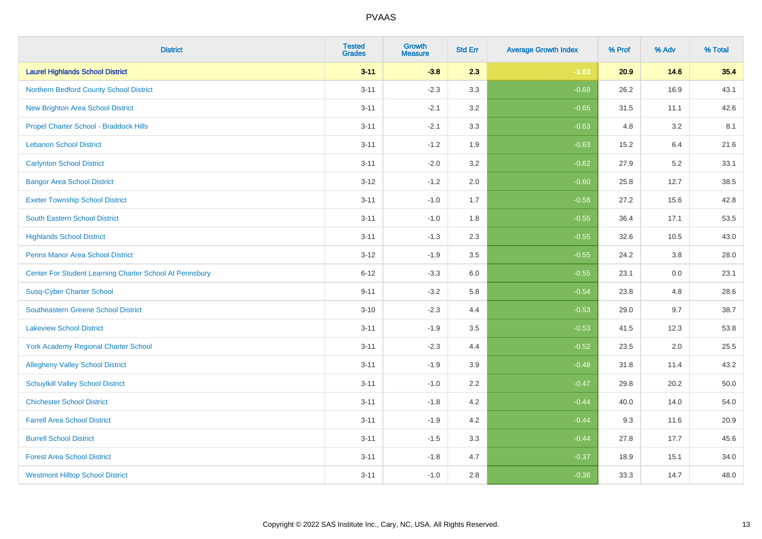| <b>District</b>                                         | <b>Tested</b><br><b>Grades</b> | <b>Growth</b><br><b>Measure</b> | <b>Std Err</b> | <b>Average Growth Index</b> | % Prof | % Adv | % Total |
|---------------------------------------------------------|--------------------------------|---------------------------------|----------------|-----------------------------|--------|-------|---------|
| <b>Laurel Highlands School District</b>                 | $3 - 11$                       | $-3.8$                          | 2.3            | $-1.63$                     | 20.9   | 14.6  | 35.4    |
| Northern Bedford County School District                 | $3 - 11$                       | $-2.3$                          | 3.3            | $-0.69$                     | 26.2   | 16.9  | 43.1    |
| <b>New Brighton Area School District</b>                | $3 - 11$                       | $-2.1$                          | 3.2            | $-0.65$                     | 31.5   | 11.1  | 42.6    |
| Propel Charter School - Braddock Hills                  | $3 - 11$                       | $-2.1$                          | 3.3            | $-0.63$                     | 4.8    | 3.2   | 8.1     |
| <b>Lebanon School District</b>                          | $3 - 11$                       | $-1.2$                          | 1.9            | $-0.63$                     | 15.2   | 6.4   | 21.6    |
| <b>Carlynton School District</b>                        | $3 - 11$                       | $-2.0$                          | 3.2            | $-0.62$                     | 27.9   | 5.2   | 33.1    |
| <b>Bangor Area School District</b>                      | $3 - 12$                       | $-1.2$                          | 2.0            | $-0.60$                     | 25.8   | 12.7  | 38.5    |
| <b>Exeter Township School District</b>                  | $3 - 11$                       | $-1.0$                          | 1.7            | $-0.58$                     | 27.2   | 15.6  | 42.8    |
| <b>South Eastern School District</b>                    | $3 - 11$                       | $-1.0$                          | 1.8            | $-0.55$                     | 36.4   | 17.1  | 53.5    |
| <b>Highlands School District</b>                        | $3 - 11$                       | $-1.3$                          | 2.3            | $-0.55$                     | 32.6   | 10.5  | 43.0    |
| <b>Penns Manor Area School District</b>                 | $3 - 12$                       | $-1.9$                          | 3.5            | $-0.55$                     | 24.2   | 3.8   | 28.0    |
| Center For Student Learning Charter School At Pennsbury | $6 - 12$                       | $-3.3$                          | 6.0            | $-0.55$                     | 23.1   | 0.0   | 23.1    |
| <b>Susq-Cyber Charter School</b>                        | $9 - 11$                       | $-3.2$                          | 5.8            | $-0.54$                     | 23.8   | 4.8   | 28.6    |
| Southeastern Greene School District                     | $3 - 10$                       | $-2.3$                          | 4.4            | $-0.53$                     | 29.0   | 9.7   | 38.7    |
| <b>Lakeview School District</b>                         | $3 - 11$                       | $-1.9$                          | 3.5            | $-0.53$                     | 41.5   | 12.3  | 53.8    |
| <b>York Academy Regional Charter School</b>             | $3 - 11$                       | $-2.3$                          | 4.4            | $-0.52$                     | 23.5   | 2.0   | 25.5    |
| <b>Allegheny Valley School District</b>                 | $3 - 11$                       | $-1.9$                          | 3.9            | $-0.48$                     | 31.8   | 11.4  | 43.2    |
| <b>Schuylkill Valley School District</b>                | $3 - 11$                       | $-1.0$                          | 2.2            | $-0.47$                     | 29.8   | 20.2  | 50.0    |
| <b>Chichester School District</b>                       | $3 - 11$                       | $-1.8$                          | 4.2            | $-0.44$                     | 40.0   | 14.0  | 54.0    |
| <b>Farrell Area School District</b>                     | $3 - 11$                       | $-1.9$                          | 4.2            | $-0.44$                     | 9.3    | 11.6  | 20.9    |
| <b>Burrell School District</b>                          | $3 - 11$                       | $-1.5$                          | 3.3            | $-0.44$                     | 27.8   | 17.7  | 45.6    |
| <b>Forest Area School District</b>                      | $3 - 11$                       | $-1.8$                          | 4.7            | $-0.37$                     | 18.9   | 15.1  | 34.0    |
| <b>Westmont Hilltop School District</b>                 | $3 - 11$                       | $-1.0$                          | 2.8            | $-0.36$                     | 33.3   | 14.7  | 48.0    |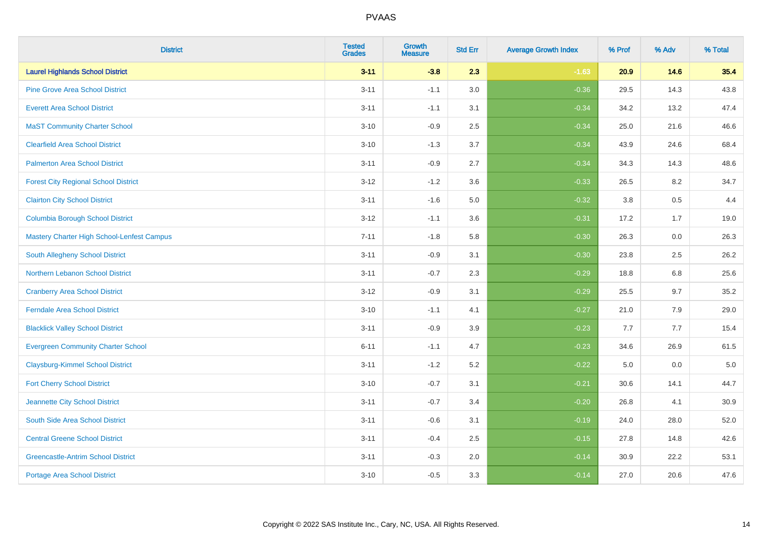| <b>District</b>                             | <b>Tested</b><br><b>Grades</b> | <b>Growth</b><br><b>Measure</b> | <b>Std Err</b> | <b>Average Growth Index</b> | % Prof | % Adv   | % Total |
|---------------------------------------------|--------------------------------|---------------------------------|----------------|-----------------------------|--------|---------|---------|
| <b>Laurel Highlands School District</b>     | $3 - 11$                       | $-3.8$                          | 2.3            | $-1.63$                     | 20.9   | 14.6    | 35.4    |
| <b>Pine Grove Area School District</b>      | $3 - 11$                       | $-1.1$                          | $3.0\,$        | $-0.36$                     | 29.5   | 14.3    | 43.8    |
| <b>Everett Area School District</b>         | $3 - 11$                       | $-1.1$                          | 3.1            | $-0.34$                     | 34.2   | 13.2    | 47.4    |
| <b>MaST Community Charter School</b>        | $3 - 10$                       | $-0.9$                          | 2.5            | $-0.34$                     | 25.0   | 21.6    | 46.6    |
| <b>Clearfield Area School District</b>      | $3 - 10$                       | $-1.3$                          | 3.7            | $-0.34$                     | 43.9   | 24.6    | 68.4    |
| <b>Palmerton Area School District</b>       | $3 - 11$                       | $-0.9$                          | 2.7            | $-0.34$                     | 34.3   | 14.3    | 48.6    |
| <b>Forest City Regional School District</b> | $3 - 12$                       | $-1.2$                          | 3.6            | $-0.33$                     | 26.5   | 8.2     | 34.7    |
| <b>Clairton City School District</b>        | $3 - 11$                       | $-1.6$                          | 5.0            | $-0.32$                     | 3.8    | 0.5     | 4.4     |
| <b>Columbia Borough School District</b>     | $3 - 12$                       | $-1.1$                          | 3.6            | $-0.31$                     | 17.2   | 1.7     | 19.0    |
| Mastery Charter High School-Lenfest Campus  | $7 - 11$                       | $-1.8$                          | 5.8            | $-0.30$                     | 26.3   | 0.0     | 26.3    |
| South Allegheny School District             | $3 - 11$                       | $-0.9$                          | 3.1            | $-0.30$                     | 23.8   | 2.5     | 26.2    |
| <b>Northern Lebanon School District</b>     | $3 - 11$                       | $-0.7$                          | 2.3            | $-0.29$                     | 18.8   | 6.8     | 25.6    |
| <b>Cranberry Area School District</b>       | $3 - 12$                       | $-0.9$                          | 3.1            | $-0.29$                     | 25.5   | 9.7     | 35.2    |
| <b>Ferndale Area School District</b>        | $3 - 10$                       | $-1.1$                          | 4.1            | $-0.27$                     | 21.0   | 7.9     | 29.0    |
| <b>Blacklick Valley School District</b>     | $3 - 11$                       | $-0.9$                          | 3.9            | $-0.23$                     | 7.7    | 7.7     | 15.4    |
| <b>Evergreen Community Charter School</b>   | $6 - 11$                       | $-1.1$                          | 4.7            | $-0.23$                     | 34.6   | 26.9    | 61.5    |
| <b>Claysburg-Kimmel School District</b>     | $3 - 11$                       | $-1.2$                          | 5.2            | $-0.22$                     | 5.0    | $0.0\,$ | $5.0$   |
| <b>Fort Cherry School District</b>          | $3 - 10$                       | $-0.7$                          | 3.1            | $-0.21$                     | 30.6   | 14.1    | 44.7    |
| Jeannette City School District              | $3 - 11$                       | $-0.7$                          | 3.4            | $-0.20$                     | 26.8   | 4.1     | 30.9    |
| South Side Area School District             | $3 - 11$                       | $-0.6$                          | 3.1            | $-0.19$                     | 24.0   | 28.0    | 52.0    |
| <b>Central Greene School District</b>       | $3 - 11$                       | $-0.4$                          | 2.5            | $-0.15$                     | 27.8   | 14.8    | 42.6    |
| <b>Greencastle-Antrim School District</b>   | $3 - 11$                       | $-0.3$                          | 2.0            | $-0.14$                     | 30.9   | 22.2    | 53.1    |
| <b>Portage Area School District</b>         | $3 - 10$                       | $-0.5$                          | 3.3            | $-0.14$                     | 27.0   | 20.6    | 47.6    |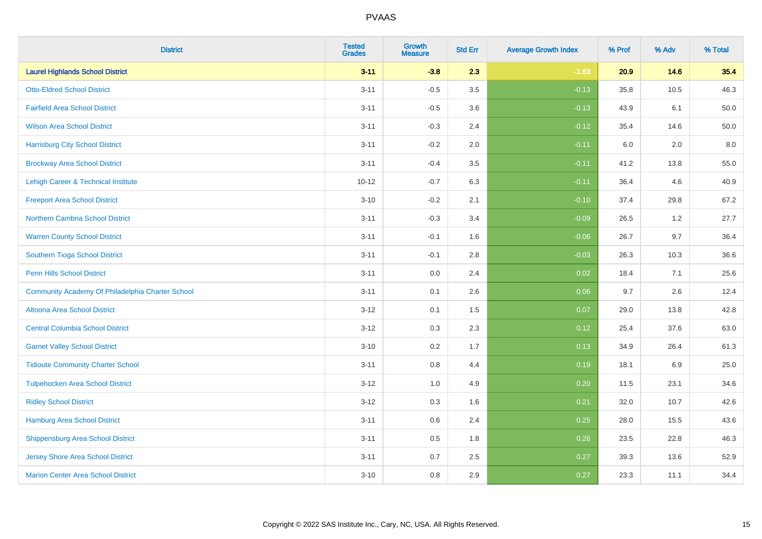| <b>District</b>                                  | <b>Tested</b><br><b>Grades</b> | <b>Growth</b><br><b>Measure</b> | <b>Std Err</b> | <b>Average Growth Index</b> | % Prof | % Adv | % Total  |
|--------------------------------------------------|--------------------------------|---------------------------------|----------------|-----------------------------|--------|-------|----------|
| <b>Laurel Highlands School District</b>          | $3 - 11$                       | $-3.8$                          | 2.3            | $-1.63$                     | 20.9   | 14.6  | 35.4     |
| <b>Otto-Eldred School District</b>               | $3 - 11$                       | $-0.5$                          | $3.5\,$        | $-0.13$                     | 35.8   | 10.5  | 46.3     |
| <b>Fairfield Area School District</b>            | $3 - 11$                       | $-0.5$                          | 3.6            | $-0.13$                     | 43.9   | 6.1   | $50.0\,$ |
| <b>Wilson Area School District</b>               | $3 - 11$                       | $-0.3$                          | 2.4            | $-0.12$                     | 35.4   | 14.6  | 50.0     |
| <b>Harrisburg City School District</b>           | $3 - 11$                       | $-0.2$                          | 2.0            | $-0.11$                     | 6.0    | 2.0   | 8.0      |
| <b>Brockway Area School District</b>             | $3 - 11$                       | $-0.4$                          | 3.5            | $-0.11$                     | 41.2   | 13.8  | 55.0     |
| Lehigh Career & Technical Institute              | $10 - 12$                      | $-0.7$                          | 6.3            | $-0.11$                     | 36.4   | 4.6   | 40.9     |
| <b>Freeport Area School District</b>             | $3 - 10$                       | $-0.2$                          | 2.1            | $-0.10$                     | 37.4   | 29.8  | 67.2     |
| <b>Northern Cambria School District</b>          | $3 - 11$                       | $-0.3$                          | 3.4            | $-0.09$                     | 26.5   | 1.2   | 27.7     |
| <b>Warren County School District</b>             | $3 - 11$                       | $-0.1$                          | 1.6            | $-0.06$                     | 26.7   | 9.7   | 36.4     |
| Southern Tioga School District                   | $3 - 11$                       | $-0.1$                          | 2.8            | $-0.03$                     | 26.3   | 10.3  | 36.6     |
| Penn Hills School District                       | $3 - 11$                       | 0.0                             | 2.4            | 0.02                        | 18.4   | 7.1   | 25.6     |
| Community Academy Of Philadelphia Charter School | $3 - 11$                       | 0.1                             | 2.6            | 0.06                        | 9.7    | 2.6   | 12.4     |
| Altoona Area School District                     | $3 - 12$                       | 0.1                             | 1.5            | 0.07                        | 29.0   | 13.8  | 42.8     |
| <b>Central Columbia School District</b>          | $3-12$                         | 0.3                             | 2.3            | 0.12                        | 25.4   | 37.6  | 63.0     |
| <b>Garnet Valley School District</b>             | $3 - 10$                       | 0.2                             | 1.7            | 0.13                        | 34.9   | 26.4  | 61.3     |
| <b>Tidioute Community Charter School</b>         | $3 - 11$                       | 0.8                             | 4.4            | 0.19                        | 18.1   | 6.9   | 25.0     |
| <b>Tulpehocken Area School District</b>          | $3 - 12$                       | 1.0                             | 4.9            | 0.20                        | 11.5   | 23.1  | 34.6     |
| <b>Ridley School District</b>                    | $3-12$                         | 0.3                             | 1.6            | 0.21                        | 32.0   | 10.7  | 42.6     |
| <b>Hamburg Area School District</b>              | $3 - 11$                       | 0.6                             | 2.4            | 0.25                        | 28.0   | 15.5  | 43.6     |
| <b>Shippensburg Area School District</b>         | $3 - 11$                       | 0.5                             | 1.8            | 0.26                        | 23.5   | 22.8  | 46.3     |
| Jersey Shore Area School District                | $3 - 11$                       | $0.7\,$                         | 2.5            | 0.27                        | 39.3   | 13.6  | 52.9     |
| <b>Marion Center Area School District</b>        | $3 - 10$                       | 0.8                             | 2.9            | 0.27                        | 23.3   | 11.1  | 34.4     |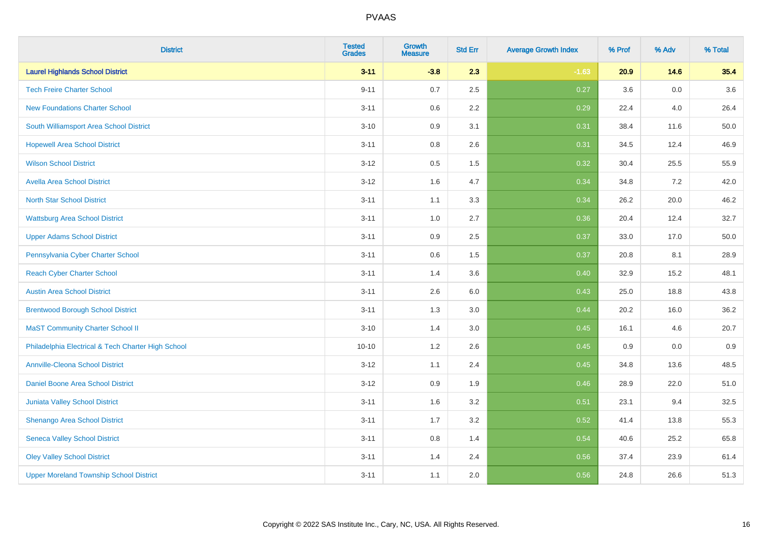| <b>District</b>                                    | <b>Tested</b><br><b>Grades</b> | <b>Growth</b><br><b>Measure</b> | <b>Std Err</b> | <b>Average Growth Index</b> | % Prof | % Adv   | % Total |
|----------------------------------------------------|--------------------------------|---------------------------------|----------------|-----------------------------|--------|---------|---------|
| <b>Laurel Highlands School District</b>            | $3 - 11$                       | $-3.8$                          | 2.3            | $-1.63$                     | 20.9   | 14.6    | 35.4    |
| <b>Tech Freire Charter School</b>                  | $9 - 11$                       | 0.7                             | 2.5            | 0.27                        | 3.6    | 0.0     | 3.6     |
| <b>New Foundations Charter School</b>              | $3 - 11$                       | 0.6                             | 2.2            | 0.29                        | 22.4   | 4.0     | 26.4    |
| South Williamsport Area School District            | $3 - 10$                       | 0.9                             | 3.1            | 0.31                        | 38.4   | 11.6    | 50.0    |
| <b>Hopewell Area School District</b>               | $3 - 11$                       | 0.8                             | 2.6            | 0.31                        | 34.5   | 12.4    | 46.9    |
| <b>Wilson School District</b>                      | $3 - 12$                       | 0.5                             | 1.5            | 0.32                        | 30.4   | 25.5    | 55.9    |
| <b>Avella Area School District</b>                 | $3 - 12$                       | 1.6                             | 4.7            | 0.34                        | 34.8   | 7.2     | 42.0    |
| <b>North Star School District</b>                  | $3 - 11$                       | 1.1                             | 3.3            | 0.34                        | 26.2   | 20.0    | 46.2    |
| <b>Wattsburg Area School District</b>              | $3 - 11$                       | 1.0                             | 2.7            | 0.36                        | 20.4   | 12.4    | 32.7    |
| <b>Upper Adams School District</b>                 | $3 - 11$                       | 0.9                             | 2.5            | 0.37                        | 33.0   | 17.0    | 50.0    |
| Pennsylvania Cyber Charter School                  | $3 - 11$                       | 0.6                             | 1.5            | 0.37                        | 20.8   | 8.1     | 28.9    |
| <b>Reach Cyber Charter School</b>                  | $3 - 11$                       | 1.4                             | 3.6            | 0.40                        | 32.9   | 15.2    | 48.1    |
| <b>Austin Area School District</b>                 | $3 - 11$                       | 2.6                             | 6.0            | 0.43                        | 25.0   | 18.8    | 43.8    |
| <b>Brentwood Borough School District</b>           | $3 - 11$                       | 1.3                             | 3.0            | 0.44                        | 20.2   | 16.0    | 36.2    |
| <b>MaST Community Charter School II</b>            | $3 - 10$                       | 1.4                             | 3.0            | 0.45                        | 16.1   | 4.6     | 20.7    |
| Philadelphia Electrical & Tech Charter High School | $10 - 10$                      | 1.2                             | 2.6            | 0.45                        | 0.9    | $0.0\,$ | 0.9     |
| <b>Annville-Cleona School District</b>             | $3 - 12$                       | 1.1                             | 2.4            | 0.45                        | 34.8   | 13.6    | 48.5    |
| Daniel Boone Area School District                  | $3 - 12$                       | 0.9                             | 1.9            | 0.46                        | 28.9   | 22.0    | 51.0    |
| Juniata Valley School District                     | $3 - 11$                       | 1.6                             | 3.2            | 0.51                        | 23.1   | 9.4     | 32.5    |
| Shenango Area School District                      | $3 - 11$                       | 1.7                             | 3.2            | 0.52                        | 41.4   | 13.8    | 55.3    |
| <b>Seneca Valley School District</b>               | $3 - 11$                       | $0.8\,$                         | 1.4            | 0.54                        | 40.6   | 25.2    | 65.8    |
| <b>Oley Valley School District</b>                 | $3 - 11$                       | 1.4                             | 2.4            | 0.56                        | 37.4   | 23.9    | 61.4    |
| <b>Upper Moreland Township School District</b>     | $3 - 11$                       | 1.1                             | 2.0            | 0.56                        | 24.8   | 26.6    | 51.3    |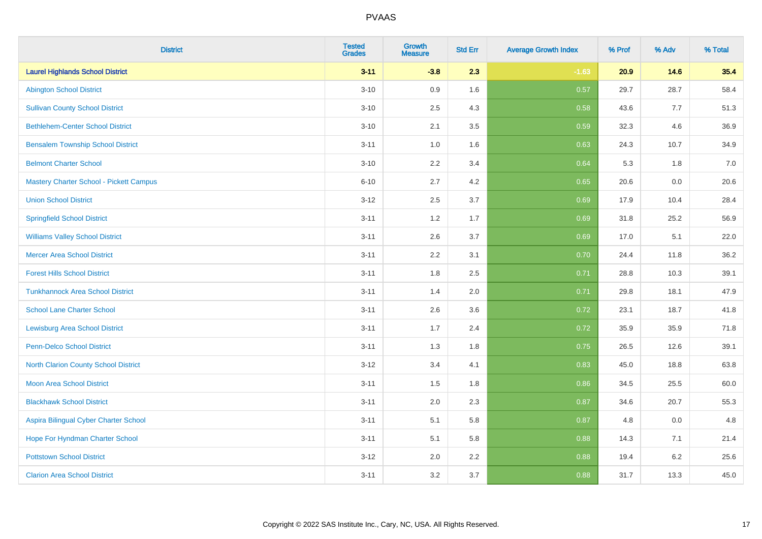| <b>District</b>                          | <b>Tested</b><br><b>Grades</b> | <b>Growth</b><br><b>Measure</b> | <b>Std Err</b> | <b>Average Growth Index</b> | % Prof | % Adv | % Total |
|------------------------------------------|--------------------------------|---------------------------------|----------------|-----------------------------|--------|-------|---------|
| <b>Laurel Highlands School District</b>  | $3 - 11$                       | $-3.8$                          | 2.3            | $-1.63$                     | 20.9   | 14.6  | 35.4    |
| <b>Abington School District</b>          | $3 - 10$                       | 0.9                             | 1.6            | 0.57                        | 29.7   | 28.7  | 58.4    |
| <b>Sullivan County School District</b>   | $3 - 10$                       | 2.5                             | 4.3            | 0.58                        | 43.6   | 7.7   | 51.3    |
| <b>Bethlehem-Center School District</b>  | $3 - 10$                       | 2.1                             | 3.5            | 0.59                        | 32.3   | 4.6   | 36.9    |
| <b>Bensalem Township School District</b> | $3 - 11$                       | 1.0                             | 1.6            | 0.63                        | 24.3   | 10.7  | 34.9    |
| <b>Belmont Charter School</b>            | $3 - 10$                       | 2.2                             | 3.4            | 0.64                        | 5.3    | 1.8   | 7.0     |
| Mastery Charter School - Pickett Campus  | $6 - 10$                       | 2.7                             | 4.2            | 0.65                        | 20.6   | 0.0   | 20.6    |
| <b>Union School District</b>             | $3 - 12$                       | 2.5                             | 3.7            | 0.69                        | 17.9   | 10.4  | 28.4    |
| <b>Springfield School District</b>       | $3 - 11$                       | 1.2                             | 1.7            | 0.69                        | 31.8   | 25.2  | 56.9    |
| <b>Williams Valley School District</b>   | $3 - 11$                       | 2.6                             | 3.7            | 0.69                        | 17.0   | 5.1   | 22.0    |
| <b>Mercer Area School District</b>       | $3 - 11$                       | 2.2                             | 3.1            | 0.70                        | 24.4   | 11.8  | 36.2    |
| <b>Forest Hills School District</b>      | $3 - 11$                       | 1.8                             | 2.5            | 0.71                        | 28.8   | 10.3  | 39.1    |
| <b>Tunkhannock Area School District</b>  | $3 - 11$                       | 1.4                             | 2.0            | 0.71                        | 29.8   | 18.1  | 47.9    |
| <b>School Lane Charter School</b>        | $3 - 11$                       | 2.6                             | 3.6            | 0.72                        | 23.1   | 18.7  | 41.8    |
| <b>Lewisburg Area School District</b>    | $3 - 11$                       | 1.7                             | 2.4            | 0.72                        | 35.9   | 35.9  | 71.8    |
| Penn-Delco School District               | $3 - 11$                       | 1.3                             | 1.8            | 0.75                        | 26.5   | 12.6  | 39.1    |
| North Clarion County School District     | $3 - 12$                       | 3.4                             | 4.1            | 0.83                        | 45.0   | 18.8  | 63.8    |
| <b>Moon Area School District</b>         | $3 - 11$                       | 1.5                             | 1.8            | 0.86                        | 34.5   | 25.5  | 60.0    |
| <b>Blackhawk School District</b>         | $3 - 11$                       | 2.0                             | 2.3            | 0.87                        | 34.6   | 20.7  | 55.3    |
| Aspira Bilingual Cyber Charter School    | $3 - 11$                       | 5.1                             | 5.8            | 0.87                        | 4.8    | 0.0   | 4.8     |
| Hope For Hyndman Charter School          | $3 - 11$                       | 5.1                             | 5.8            | 0.88                        | 14.3   | 7.1   | 21.4    |
| <b>Pottstown School District</b>         | $3 - 12$                       | 2.0                             | 2.2            | 0.88                        | 19.4   | 6.2   | 25.6    |
| <b>Clarion Area School District</b>      | $3 - 11$                       | 3.2                             | 3.7            | 0.88                        | 31.7   | 13.3  | 45.0    |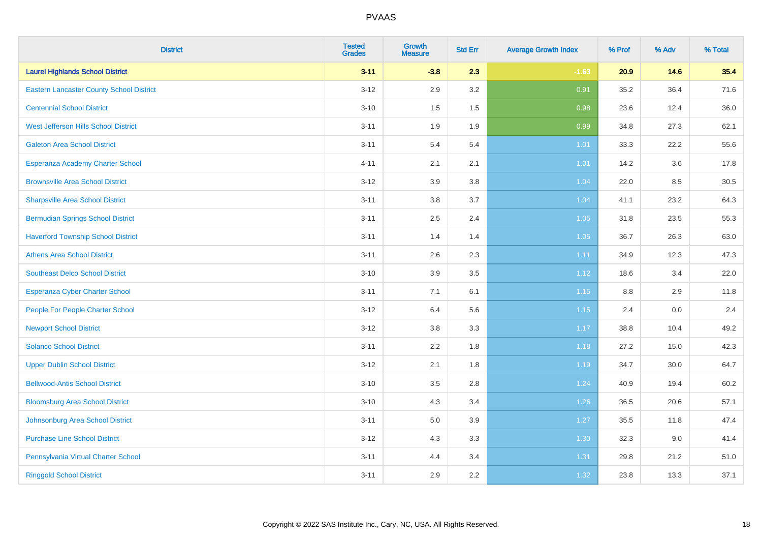| <b>District</b>                                 | <b>Tested</b><br><b>Grades</b> | <b>Growth</b><br><b>Measure</b> | <b>Std Err</b> | <b>Average Growth Index</b> | % Prof  | % Adv | % Total |
|-------------------------------------------------|--------------------------------|---------------------------------|----------------|-----------------------------|---------|-------|---------|
| <b>Laurel Highlands School District</b>         | $3 - 11$                       | $-3.8$                          | 2.3            | $-1.63$                     | 20.9    | 14.6  | 35.4    |
| <b>Eastern Lancaster County School District</b> | $3 - 12$                       | 2.9                             | $3.2\,$        | 0.91                        | 35.2    | 36.4  | 71.6    |
| <b>Centennial School District</b>               | $3 - 10$                       | 1.5                             | 1.5            | 0.98                        | 23.6    | 12.4  | 36.0    |
| West Jefferson Hills School District            | $3 - 11$                       | 1.9                             | 1.9            | 0.99                        | 34.8    | 27.3  | 62.1    |
| <b>Galeton Area School District</b>             | $3 - 11$                       | 5.4                             | 5.4            | $1.01$                      | 33.3    | 22.2  | 55.6    |
| Esperanza Academy Charter School                | $4 - 11$                       | 2.1                             | 2.1            | $1.01$                      | 14.2    | 3.6   | 17.8    |
| <b>Brownsville Area School District</b>         | $3 - 12$                       | 3.9                             | 3.8            | 1.04                        | 22.0    | 8.5   | 30.5    |
| <b>Sharpsville Area School District</b>         | $3 - 11$                       | 3.8                             | 3.7            | 1.04                        | 41.1    | 23.2  | 64.3    |
| <b>Bermudian Springs School District</b>        | $3 - 11$                       | 2.5                             | 2.4            | 1.05                        | 31.8    | 23.5  | 55.3    |
| <b>Haverford Township School District</b>       | $3 - 11$                       | 1.4                             | 1.4            | 1.05                        | 36.7    | 26.3  | 63.0    |
| <b>Athens Area School District</b>              | $3 - 11$                       | 2.6                             | 2.3            | 1.11                        | 34.9    | 12.3  | 47.3    |
| <b>Southeast Delco School District</b>          | $3 - 10$                       | 3.9                             | 3.5            | 1.12                        | 18.6    | 3.4   | 22.0    |
| Esperanza Cyber Charter School                  | $3 - 11$                       | 7.1                             | 6.1            | 1.15                        | $8.8\,$ | 2.9   | 11.8    |
| People For People Charter School                | $3 - 12$                       | 6.4                             | 5.6            | 1.15                        | 2.4     | 0.0   | 2.4     |
| <b>Newport School District</b>                  | $3 - 12$                       | 3.8                             | 3.3            | $1.17$                      | 38.8    | 10.4  | 49.2    |
| <b>Solanco School District</b>                  | $3 - 11$                       | 2.2                             | 1.8            | 1.18                        | 27.2    | 15.0  | 42.3    |
| <b>Upper Dublin School District</b>             | $3 - 12$                       | 2.1                             | 1.8            | 1.19                        | 34.7    | 30.0  | 64.7    |
| <b>Bellwood-Antis School District</b>           | $3 - 10$                       | 3.5                             | 2.8            | 1.24                        | 40.9    | 19.4  | 60.2    |
| <b>Bloomsburg Area School District</b>          | $3 - 10$                       | 4.3                             | 3.4            | 1.26                        | 36.5    | 20.6  | 57.1    |
| Johnsonburg Area School District                | $3 - 11$                       | 5.0                             | 3.9            | 1.27                        | 35.5    | 11.8  | 47.4    |
| <b>Purchase Line School District</b>            | $3 - 12$                       | 4.3                             | 3.3            | 1.30                        | 32.3    | 9.0   | 41.4    |
| Pennsylvania Virtual Charter School             | $3 - 11$                       | 4.4                             | 3.4            | 1.31                        | 29.8    | 21.2  | 51.0    |
| <b>Ringgold School District</b>                 | $3 - 11$                       | 2.9                             | 2.2            | 1.32                        | 23.8    | 13.3  | 37.1    |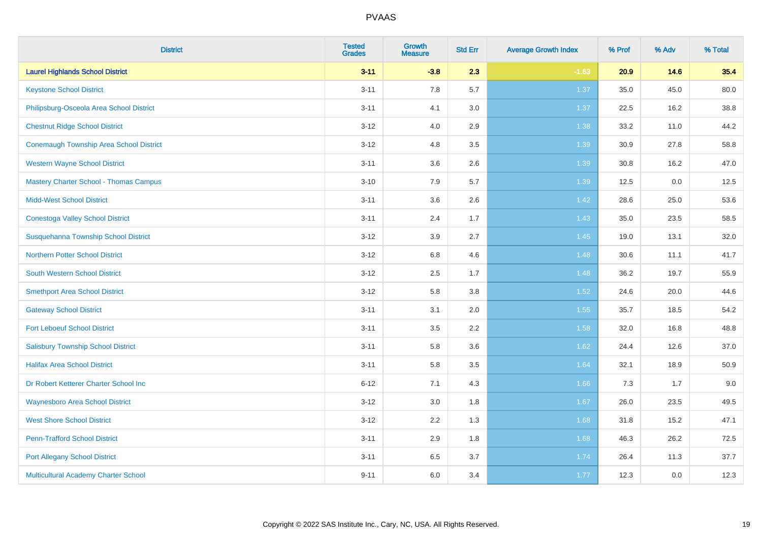| <b>District</b>                                | <b>Tested</b><br><b>Grades</b> | Growth<br><b>Measure</b> | <b>Std Err</b> | <b>Average Growth Index</b> | % Prof | % Adv | % Total |
|------------------------------------------------|--------------------------------|--------------------------|----------------|-----------------------------|--------|-------|---------|
| <b>Laurel Highlands School District</b>        | $3 - 11$                       | $-3.8$                   | 2.3            | $-1.63$                     | 20.9   | 14.6  | 35.4    |
| <b>Keystone School District</b>                | $3 - 11$                       | 7.8                      | 5.7            | 1.37                        | 35.0   | 45.0  | 80.0    |
| Philipsburg-Osceola Area School District       | $3 - 11$                       | 4.1                      | 3.0            | 1.37                        | 22.5   | 16.2  | 38.8    |
| <b>Chestnut Ridge School District</b>          | $3 - 12$                       | 4.0                      | 2.9            | 1.38                        | 33.2   | 11.0  | 44.2    |
| <b>Conemaugh Township Area School District</b> | $3 - 12$                       | 4.8                      | 3.5            | 1.39                        | 30.9   | 27.8  | 58.8    |
| <b>Western Wayne School District</b>           | $3 - 11$                       | 3.6                      | 2.6            | 1.39                        | 30.8   | 16.2  | 47.0    |
| <b>Mastery Charter School - Thomas Campus</b>  | $3 - 10$                       | 7.9                      | 5.7            | 1.39                        | 12.5   | 0.0   | 12.5    |
| <b>Midd-West School District</b>               | $3 - 11$                       | 3.6                      | 2.6            | 1.42                        | 28.6   | 25.0  | 53.6    |
| <b>Conestoga Valley School District</b>        | $3 - 11$                       | 2.4                      | 1.7            | 1.43                        | 35.0   | 23.5  | 58.5    |
| Susquehanna Township School District           | $3 - 12$                       | 3.9                      | 2.7            | 1.45                        | 19.0   | 13.1  | 32.0    |
| <b>Northern Potter School District</b>         | $3 - 12$                       | 6.8                      | 4.6            | 1.48                        | 30.6   | 11.1  | 41.7    |
| <b>South Western School District</b>           | $3 - 12$                       | 2.5                      | 1.7            | 1.48                        | 36.2   | 19.7  | 55.9    |
| <b>Smethport Area School District</b>          | $3 - 12$                       | 5.8                      | 3.8            | 1.52                        | 24.6   | 20.0  | 44.6    |
| <b>Gateway School District</b>                 | $3 - 11$                       | 3.1                      | 2.0            | 1.55                        | 35.7   | 18.5  | 54.2    |
| <b>Fort Leboeuf School District</b>            | $3 - 11$                       | 3.5                      | 2.2            | 1.58                        | 32.0   | 16.8  | 48.8    |
| <b>Salisbury Township School District</b>      | $3 - 11$                       | 5.8                      | 3.6            | 1.62                        | 24.4   | 12.6  | 37.0    |
| <b>Halifax Area School District</b>            | $3 - 11$                       | 5.8                      | 3.5            | 1.64                        | 32.1   | 18.9  | 50.9    |
| Dr Robert Ketterer Charter School Inc          | $6 - 12$                       | 7.1                      | 4.3            | 1.66                        | 7.3    | 1.7   | 9.0     |
| <b>Waynesboro Area School District</b>         | $3 - 12$                       | $3.0\,$                  | 1.8            | 1.67                        | 26.0   | 23.5  | 49.5    |
| <b>West Shore School District</b>              | $3 - 12$                       | 2.2                      | 1.3            | 1.68                        | 31.8   | 15.2  | 47.1    |
| <b>Penn-Trafford School District</b>           | $3 - 11$                       | 2.9                      | 1.8            | 1.68                        | 46.3   | 26.2  | 72.5    |
| <b>Port Allegany School District</b>           | $3 - 11$                       | 6.5                      | 3.7            | 1.74                        | 26.4   | 11.3  | 37.7    |
| Multicultural Academy Charter School           | $9 - 11$                       | 6.0                      | 3.4            | 1.77                        | 12.3   | 0.0   | 12.3    |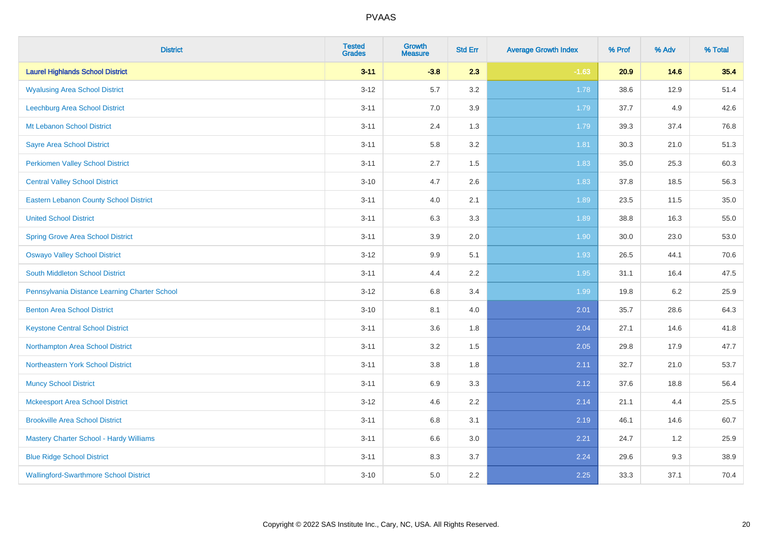| <b>District</b>                               | <b>Tested</b><br><b>Grades</b> | <b>Growth</b><br><b>Measure</b> | <b>Std Err</b> | <b>Average Growth Index</b> | % Prof | % Adv | % Total |
|-----------------------------------------------|--------------------------------|---------------------------------|----------------|-----------------------------|--------|-------|---------|
| <b>Laurel Highlands School District</b>       | $3 - 11$                       | $-3.8$                          | 2.3            | $-1.63$                     | 20.9   | 14.6  | 35.4    |
| <b>Wyalusing Area School District</b>         | $3 - 12$                       | 5.7                             | 3.2            | 1.78                        | 38.6   | 12.9  | 51.4    |
| Leechburg Area School District                | $3 - 11$                       | 7.0                             | 3.9            | 1.79                        | 37.7   | 4.9   | 42.6    |
| Mt Lebanon School District                    | $3 - 11$                       | 2.4                             | 1.3            | 1.79                        | 39.3   | 37.4  | 76.8    |
| <b>Sayre Area School District</b>             | $3 - 11$                       | 5.8                             | 3.2            | 1.81                        | 30.3   | 21.0  | 51.3    |
| <b>Perkiomen Valley School District</b>       | $3 - 11$                       | 2.7                             | 1.5            | 1.83                        | 35.0   | 25.3  | 60.3    |
| <b>Central Valley School District</b>         | $3 - 10$                       | 4.7                             | 2.6            | 1.83                        | 37.8   | 18.5  | 56.3    |
| <b>Eastern Lebanon County School District</b> | $3 - 11$                       | 4.0                             | 2.1            | 1.89                        | 23.5   | 11.5  | 35.0    |
| <b>United School District</b>                 | $3 - 11$                       | 6.3                             | 3.3            | 1.89                        | 38.8   | 16.3  | 55.0    |
| <b>Spring Grove Area School District</b>      | $3 - 11$                       | 3.9                             | 2.0            | 1.90                        | 30.0   | 23.0  | 53.0    |
| <b>Oswayo Valley School District</b>          | $3 - 12$                       | 9.9                             | 5.1            | 1.93                        | 26.5   | 44.1  | 70.6    |
| South Middleton School District               | $3 - 11$                       | 4.4                             | 2.2            | 1.95                        | 31.1   | 16.4  | 47.5    |
| Pennsylvania Distance Learning Charter School | $3 - 12$                       | $6.8\,$                         | 3.4            | 1.99                        | 19.8   | 6.2   | 25.9    |
| <b>Benton Area School District</b>            | $3 - 10$                       | 8.1                             | 4.0            | 2.01                        | 35.7   | 28.6  | 64.3    |
| <b>Keystone Central School District</b>       | $3 - 11$                       | 3.6                             | 1.8            | 2.04                        | 27.1   | 14.6  | 41.8    |
| Northampton Area School District              | $3 - 11$                       | 3.2                             | 1.5            | 2.05                        | 29.8   | 17.9  | 47.7    |
| Northeastern York School District             | $3 - 11$                       | 3.8                             | 1.8            | 2.11                        | 32.7   | 21.0  | 53.7    |
| <b>Muncy School District</b>                  | $3 - 11$                       | 6.9                             | 3.3            | 2.12                        | 37.6   | 18.8  | 56.4    |
| <b>Mckeesport Area School District</b>        | $3 - 12$                       | 4.6                             | 2.2            | 2.14                        | 21.1   | 4.4   | 25.5    |
| <b>Brookville Area School District</b>        | $3 - 11$                       | $6.8\,$                         | 3.1            | 2.19                        | 46.1   | 14.6  | 60.7    |
| Mastery Charter School - Hardy Williams       | $3 - 11$                       | 6.6                             | 3.0            | 2.21                        | 24.7   | 1.2   | 25.9    |
| <b>Blue Ridge School District</b>             | $3 - 11$                       | 8.3                             | 3.7            | 2.24                        | 29.6   | 9.3   | 38.9    |
| <b>Wallingford-Swarthmore School District</b> | $3 - 10$                       | 5.0                             | 2.2            | 2.25                        | 33.3   | 37.1  | 70.4    |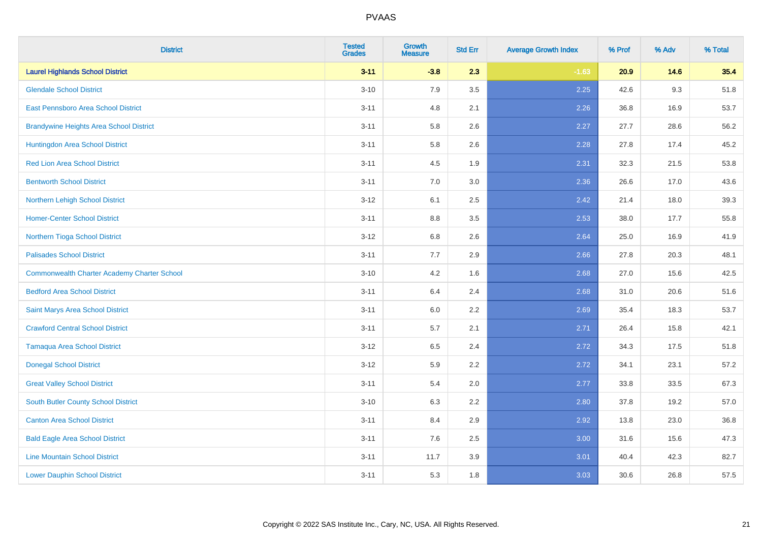| <b>District</b>                                    | <b>Tested</b><br><b>Grades</b> | <b>Growth</b><br><b>Measure</b> | <b>Std Err</b> | <b>Average Growth Index</b> | % Prof | % Adv | % Total |
|----------------------------------------------------|--------------------------------|---------------------------------|----------------|-----------------------------|--------|-------|---------|
| <b>Laurel Highlands School District</b>            | $3 - 11$                       | $-3.8$                          | 2.3            | $-1.63$                     | 20.9   | 14.6  | 35.4    |
| <b>Glendale School District</b>                    | $3 - 10$                       | 7.9                             | 3.5            | 2.25                        | 42.6   | 9.3   | 51.8    |
| East Pennsboro Area School District                | $3 - 11$                       | 4.8                             | 2.1            | 2.26                        | 36.8   | 16.9  | 53.7    |
| <b>Brandywine Heights Area School District</b>     | $3 - 11$                       | 5.8                             | 2.6            | 2.27                        | 27.7   | 28.6  | 56.2    |
| Huntingdon Area School District                    | $3 - 11$                       | 5.8                             | 2.6            | 2.28                        | 27.8   | 17.4  | 45.2    |
| <b>Red Lion Area School District</b>               | $3 - 11$                       | 4.5                             | 1.9            | 2.31                        | 32.3   | 21.5  | 53.8    |
| <b>Bentworth School District</b>                   | $3 - 11$                       | 7.0                             | 3.0            | 2.36                        | 26.6   | 17.0  | 43.6    |
| Northern Lehigh School District                    | $3 - 12$                       | 6.1                             | 2.5            | 2.42                        | 21.4   | 18.0  | 39.3    |
| <b>Homer-Center School District</b>                | $3 - 11$                       | 8.8                             | 3.5            | 2.53                        | 38.0   | 17.7  | 55.8    |
| Northern Tioga School District                     | $3-12$                         | 6.8                             | 2.6            | 2.64                        | 25.0   | 16.9  | 41.9    |
| <b>Palisades School District</b>                   | $3 - 11$                       | 7.7                             | 2.9            | 2.66                        | 27.8   | 20.3  | 48.1    |
| <b>Commonwealth Charter Academy Charter School</b> | $3 - 10$                       | 4.2                             | 1.6            | 2.68                        | 27.0   | 15.6  | 42.5    |
| <b>Bedford Area School District</b>                | $3 - 11$                       | $6.4\,$                         | 2.4            | 2.68                        | 31.0   | 20.6  | 51.6    |
| Saint Marys Area School District                   | $3 - 11$                       | 6.0                             | 2.2            | 2.69                        | 35.4   | 18.3  | 53.7    |
| <b>Crawford Central School District</b>            | $3 - 11$                       | 5.7                             | 2.1            | 2.71                        | 26.4   | 15.8  | 42.1    |
| <b>Tamaqua Area School District</b>                | $3 - 12$                       | 6.5                             | 2.4            | 2.72                        | 34.3   | 17.5  | 51.8    |
| <b>Donegal School District</b>                     | $3 - 12$                       | 5.9                             | 2.2            | 2.72                        | 34.1   | 23.1  | 57.2    |
| <b>Great Valley School District</b>                | $3 - 11$                       | 5.4                             | 2.0            | 2.77                        | 33.8   | 33.5  | 67.3    |
| <b>South Butler County School District</b>         | $3 - 10$                       | 6.3                             | 2.2            | 2.80                        | 37.8   | 19.2  | 57.0    |
| <b>Canton Area School District</b>                 | $3 - 11$                       | 8.4                             | 2.9            | 2.92                        | 13.8   | 23.0  | 36.8    |
| <b>Bald Eagle Area School District</b>             | $3 - 11$                       | 7.6                             | 2.5            | 3.00                        | 31.6   | 15.6  | 47.3    |
| <b>Line Mountain School District</b>               | $3 - 11$                       | 11.7                            | 3.9            | 3.01                        | 40.4   | 42.3  | 82.7    |
| <b>Lower Dauphin School District</b>               | $3 - 11$                       | 5.3                             | 1.8            | 3.03                        | 30.6   | 26.8  | 57.5    |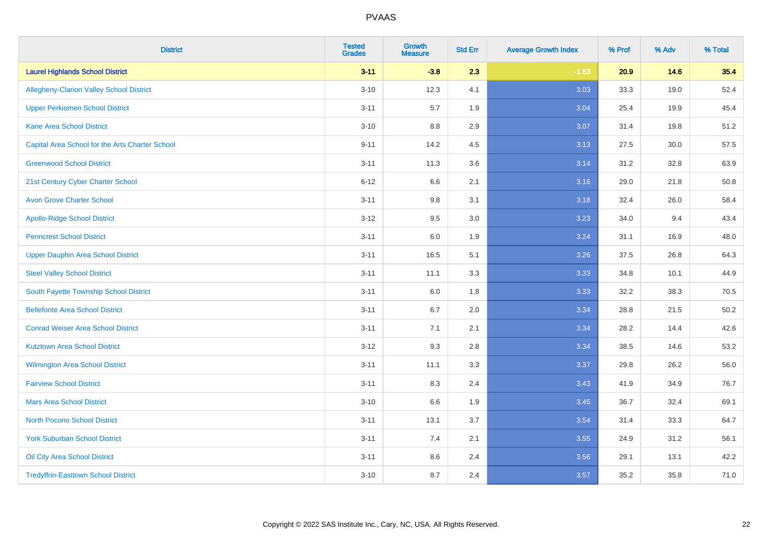| <b>District</b>                                 | <b>Tested</b><br><b>Grades</b> | <b>Growth</b><br><b>Measure</b> | <b>Std Err</b> | <b>Average Growth Index</b> | % Prof | % Adv | % Total |
|-------------------------------------------------|--------------------------------|---------------------------------|----------------|-----------------------------|--------|-------|---------|
| <b>Laurel Highlands School District</b>         | $3 - 11$                       | $-3.8$                          | 2.3            | $-1.63$                     | 20.9   | 14.6  | 35.4    |
| Allegheny-Clarion Valley School District        | $3 - 10$                       | 12.3                            | 4.1            | 3.03                        | 33.3   | 19.0  | 52.4    |
| <b>Upper Perkiomen School District</b>          | $3 - 11$                       | 5.7                             | 1.9            | 3.04                        | 25.4   | 19.9  | 45.4    |
| <b>Kane Area School District</b>                | $3 - 10$                       | 8.8                             | 2.9            | 3.07                        | 31.4   | 19.8  | 51.2    |
| Capital Area School for the Arts Charter School | $9 - 11$                       | 14.2                            | 4.5            | 3.13                        | 27.5   | 30.0  | 57.5    |
| <b>Greenwood School District</b>                | $3 - 11$                       | 11.3                            | 3.6            | 3.14                        | 31.2   | 32.8  | 63.9    |
| 21st Century Cyber Charter School               | $6 - 12$                       | 6.6                             | 2.1            | 3.16                        | 29.0   | 21.8  | 50.8    |
| <b>Avon Grove Charter School</b>                | $3 - 11$                       | $9.8\,$                         | 3.1            | 3.18                        | 32.4   | 26.0  | 58.4    |
| <b>Apollo-Ridge School District</b>             | $3 - 12$                       | 9.5                             | 3.0            | 3.23                        | 34.0   | 9.4   | 43.4    |
| <b>Penncrest School District</b>                | $3 - 11$                       | 6.0                             | 1.9            | 3.24                        | 31.1   | 16.9  | 48.0    |
| Upper Dauphin Area School District              | $3 - 11$                       | 16.5                            | 5.1            | 3.26                        | 37.5   | 26.8  | 64.3    |
| <b>Steel Valley School District</b>             | $3 - 11$                       | 11.1                            | 3.3            | 3.33                        | 34.8   | 10.1  | 44.9    |
| South Fayette Township School District          | $3 - 11$                       | 6.0                             | 1.8            | 3.33                        | 32.2   | 38.3  | 70.5    |
| <b>Bellefonte Area School District</b>          | $3 - 11$                       | 6.7                             | 2.0            | 3.34                        | 28.8   | 21.5  | 50.2    |
| <b>Conrad Weiser Area School District</b>       | $3 - 11$                       | 7.1                             | 2.1            | 3.34                        | 28.2   | 14.4  | 42.6    |
| <b>Kutztown Area School District</b>            | $3-12$                         | 9.3                             | 2.8            | 3.34                        | 38.5   | 14.6  | 53.2    |
| Wilmington Area School District                 | $3 - 11$                       | 11.1                            | 3.3            | 3.37                        | 29.8   | 26.2  | 56.0    |
| <b>Fairview School District</b>                 | $3 - 11$                       | 8.3                             | 2.4            | 3.43                        | 41.9   | 34.9  | 76.7    |
| <b>Mars Area School District</b>                | $3 - 10$                       | 6.6                             | 1.9            | 3.45                        | 36.7   | 32.4  | 69.1    |
| <b>North Pocono School District</b>             | $3 - 11$                       | 13.1                            | 3.7            | 3.54                        | 31.4   | 33.3  | 64.7    |
| <b>York Suburban School District</b>            | $3 - 11$                       | 7.4                             | 2.1            | 3.55                        | 24.9   | 31.2  | 56.1    |
| Oil City Area School District                   | $3 - 11$                       | $8.6\,$                         | 2.4            | 3.56                        | 29.1   | 13.1  | 42.2    |
| <b>Tredyffrin-Easttown School District</b>      | $3 - 10$                       | 8.7                             | 2.4            | 3.57                        | 35.2   | 35.8  | 71.0    |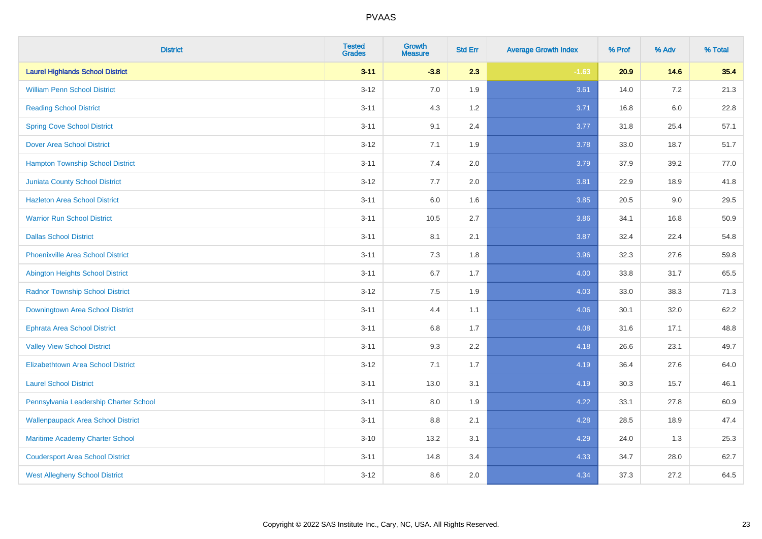| <b>District</b>                           | <b>Tested</b><br><b>Grades</b> | <b>Growth</b><br><b>Measure</b> | <b>Std Err</b> | <b>Average Growth Index</b> | % Prof | % Adv   | % Total |
|-------------------------------------------|--------------------------------|---------------------------------|----------------|-----------------------------|--------|---------|---------|
| <b>Laurel Highlands School District</b>   | $3 - 11$                       | $-3.8$                          | 2.3            | $-1.63$                     | 20.9   | 14.6    | 35.4    |
| <b>William Penn School District</b>       | $3 - 12$                       | 7.0                             | 1.9            | 3.61                        | 14.0   | $7.2\,$ | 21.3    |
| <b>Reading School District</b>            | $3 - 11$                       | 4.3                             | 1.2            | 3.71                        | 16.8   | $6.0\,$ | 22.8    |
| <b>Spring Cove School District</b>        | $3 - 11$                       | 9.1                             | 2.4            | 3.77                        | 31.8   | 25.4    | 57.1    |
| <b>Dover Area School District</b>         | $3-12$                         | 7.1                             | 1.9            | 3.78                        | 33.0   | 18.7    | 51.7    |
| <b>Hampton Township School District</b>   | $3 - 11$                       | 7.4                             | 2.0            | 3.79                        | 37.9   | 39.2    | 77.0    |
| <b>Juniata County School District</b>     | $3-12$                         | 7.7                             | 2.0            | 3.81                        | 22.9   | 18.9    | 41.8    |
| <b>Hazleton Area School District</b>      | $3 - 11$                       | 6.0                             | 1.6            | 3.85                        | 20.5   | 9.0     | 29.5    |
| <b>Warrior Run School District</b>        | $3 - 11$                       | 10.5                            | 2.7            | 3.86                        | 34.1   | 16.8    | 50.9    |
| <b>Dallas School District</b>             | $3 - 11$                       | 8.1                             | 2.1            | 3.87                        | 32.4   | 22.4    | 54.8    |
| <b>Phoenixville Area School District</b>  | $3 - 11$                       | 7.3                             | 1.8            | 3.96                        | 32.3   | 27.6    | 59.8    |
| Abington Heights School District          | $3 - 11$                       | 6.7                             | 1.7            | 4.00                        | 33.8   | 31.7    | 65.5    |
| <b>Radnor Township School District</b>    | $3 - 12$                       | $7.5\,$                         | 1.9            | 4.03                        | 33.0   | 38.3    | 71.3    |
| Downingtown Area School District          | $3 - 11$                       | 4.4                             | 1.1            | 4.06                        | 30.1   | 32.0    | 62.2    |
| <b>Ephrata Area School District</b>       | $3 - 11$                       | 6.8                             | 1.7            | 4.08                        | 31.6   | 17.1    | 48.8    |
| <b>Valley View School District</b>        | $3 - 11$                       | 9.3                             | 2.2            | 4.18                        | 26.6   | 23.1    | 49.7    |
| <b>Elizabethtown Area School District</b> | $3-12$                         | 7.1                             | 1.7            | 4.19                        | 36.4   | 27.6    | 64.0    |
| <b>Laurel School District</b>             | $3 - 11$                       | 13.0                            | 3.1            | 4.19                        | 30.3   | 15.7    | 46.1    |
| Pennsylvania Leadership Charter School    | $3 - 11$                       | 8.0                             | 1.9            | 4.22                        | 33.1   | 27.8    | 60.9    |
| <b>Wallenpaupack Area School District</b> | $3 - 11$                       | 8.8                             | 2.1            | 4.28                        | 28.5   | 18.9    | 47.4    |
| Maritime Academy Charter School           | $3 - 10$                       | 13.2                            | 3.1            | 4.29                        | 24.0   | 1.3     | 25.3    |
| <b>Coudersport Area School District</b>   | $3 - 11$                       | 14.8                            | 3.4            | 4.33                        | 34.7   | 28.0    | 62.7    |
| <b>West Allegheny School District</b>     | $3-12$                         | 8.6                             | 2.0            | 4.34                        | 37.3   | 27.2    | 64.5    |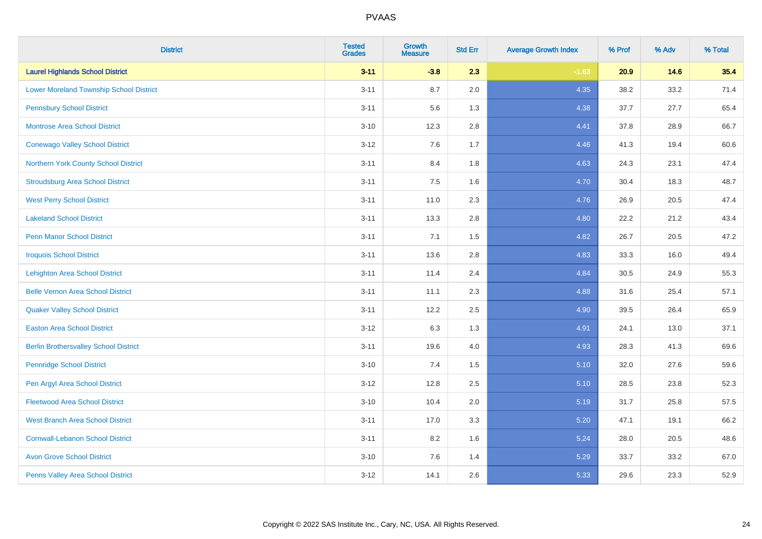| <b>District</b>                                | <b>Tested</b><br><b>Grades</b> | <b>Growth</b><br><b>Measure</b> | <b>Std Err</b> | <b>Average Growth Index</b> | % Prof | % Adv | % Total |
|------------------------------------------------|--------------------------------|---------------------------------|----------------|-----------------------------|--------|-------|---------|
| <b>Laurel Highlands School District</b>        | $3 - 11$                       | $-3.8$                          | 2.3            | $-1.63$                     | 20.9   | 14.6  | 35.4    |
| <b>Lower Moreland Township School District</b> | $3 - 11$                       | 8.7                             | 2.0            | 4.35                        | 38.2   | 33.2  | 71.4    |
| <b>Pennsbury School District</b>               | $3 - 11$                       | 5.6                             | 1.3            | 4.38                        | 37.7   | 27.7  | 65.4    |
| <b>Montrose Area School District</b>           | $3 - 10$                       | 12.3                            | 2.8            | 4.41                        | 37.8   | 28.9  | 66.7    |
| <b>Conewago Valley School District</b>         | $3 - 12$                       | 7.6                             | 1.7            | 4.46                        | 41.3   | 19.4  | 60.6    |
| Northern York County School District           | $3 - 11$                       | 8.4                             | 1.8            | 4.63                        | 24.3   | 23.1  | 47.4    |
| <b>Stroudsburg Area School District</b>        | $3 - 11$                       | 7.5                             | 1.6            | 4.70                        | 30.4   | 18.3  | 48.7    |
| <b>West Perry School District</b>              | $3 - 11$                       | 11.0                            | 2.3            | 4.76                        | 26.9   | 20.5  | 47.4    |
| <b>Lakeland School District</b>                | $3 - 11$                       | 13.3                            | 2.8            | 4.80                        | 22.2   | 21.2  | 43.4    |
| <b>Penn Manor School District</b>              | $3 - 11$                       | 7.1                             | 1.5            | 4.82                        | 26.7   | 20.5  | 47.2    |
| <b>Iroquois School District</b>                | $3 - 11$                       | 13.6                            | 2.8            | 4.83                        | 33.3   | 16.0  | 49.4    |
| <b>Lehighton Area School District</b>          | $3 - 11$                       | 11.4                            | 2.4            | 4.84                        | 30.5   | 24.9  | 55.3    |
| <b>Belle Vernon Area School District</b>       | $3 - 11$                       | 11.1                            | 2.3            | 4.88                        | 31.6   | 25.4  | 57.1    |
| <b>Quaker Valley School District</b>           | $3 - 11$                       | 12.2                            | 2.5            | 4.90                        | 39.5   | 26.4  | 65.9    |
| <b>Easton Area School District</b>             | $3 - 12$                       | 6.3                             | 1.3            | 4.91                        | 24.1   | 13.0  | 37.1    |
| <b>Berlin Brothersvalley School District</b>   | $3 - 11$                       | 19.6                            | 4.0            | 4.93                        | 28.3   | 41.3  | 69.6    |
| <b>Pennridge School District</b>               | $3 - 10$                       | 7.4                             | 1.5            | 5.10                        | 32.0   | 27.6  | 59.6    |
| Pen Argyl Area School District                 | $3 - 12$                       | 12.8                            | 2.5            | 5.10                        | 28.5   | 23.8  | 52.3    |
| <b>Fleetwood Area School District</b>          | $3 - 10$                       | 10.4                            | 2.0            | 5.19                        | 31.7   | 25.8  | 57.5    |
| <b>West Branch Area School District</b>        | $3 - 11$                       | 17.0                            | 3.3            | 5.20                        | 47.1   | 19.1  | 66.2    |
| <b>Cornwall-Lebanon School District</b>        | $3 - 11$                       | 8.2                             | 1.6            | 5.24                        | 28.0   | 20.5  | 48.6    |
| <b>Avon Grove School District</b>              | $3 - 10$                       | 7.6                             | 1.4            | 5.29                        | 33.7   | 33.2  | 67.0    |
| Penns Valley Area School District              | $3 - 12$                       | 14.1                            | 2.6            | 5.33                        | 29.6   | 23.3  | 52.9    |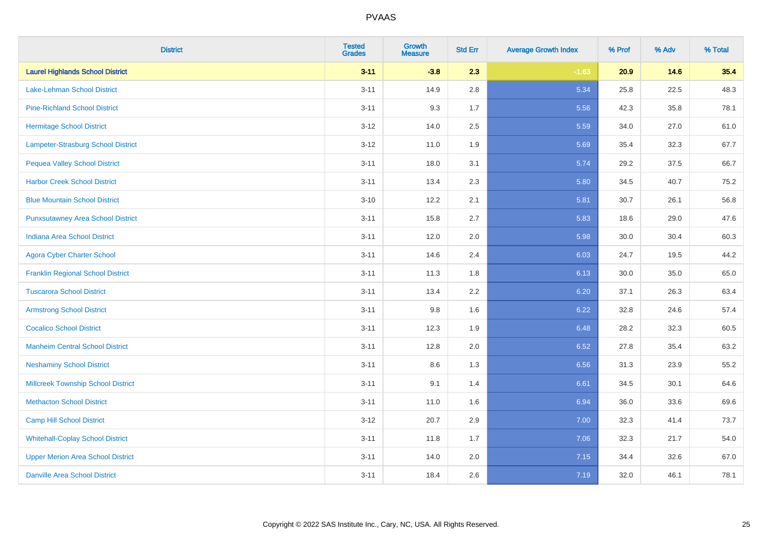| <b>District</b>                           | <b>Tested</b><br><b>Grades</b> | <b>Growth</b><br><b>Measure</b> | <b>Std Err</b> | <b>Average Growth Index</b> | % Prof | % Adv | % Total |
|-------------------------------------------|--------------------------------|---------------------------------|----------------|-----------------------------|--------|-------|---------|
| <b>Laurel Highlands School District</b>   | $3 - 11$                       | $-3.8$                          | 2.3            | $-1.63$                     | 20.9   | 14.6  | 35.4    |
| Lake-Lehman School District               | $3 - 11$                       | 14.9                            | $2.8\,$        | 5.34                        | 25.8   | 22.5  | 48.3    |
| <b>Pine-Richland School District</b>      | $3 - 11$                       | 9.3                             | 1.7            | 5.56                        | 42.3   | 35.8  | 78.1    |
| <b>Hermitage School District</b>          | $3 - 12$                       | 14.0                            | 2.5            | 5.59                        | 34.0   | 27.0  | 61.0    |
| Lampeter-Strasburg School District        | $3-12$                         | 11.0                            | 1.9            | 5.69                        | 35.4   | 32.3  | 67.7    |
| <b>Pequea Valley School District</b>      | $3 - 11$                       | 18.0                            | 3.1            | 5.74                        | 29.2   | 37.5  | 66.7    |
| <b>Harbor Creek School District</b>       | $3 - 11$                       | 13.4                            | 2.3            | 5.80                        | 34.5   | 40.7  | 75.2    |
| <b>Blue Mountain School District</b>      | $3 - 10$                       | 12.2                            | 2.1            | 5.81                        | 30.7   | 26.1  | 56.8    |
| <b>Punxsutawney Area School District</b>  | $3 - 11$                       | 15.8                            | 2.7            | 5.83                        | 18.6   | 29.0  | 47.6    |
| <b>Indiana Area School District</b>       | $3 - 11$                       | 12.0                            | 2.0            | 5.98                        | 30.0   | 30.4  | 60.3    |
| <b>Agora Cyber Charter School</b>         | $3 - 11$                       | 14.6                            | 2.4            | 6.03                        | 24.7   | 19.5  | 44.2    |
| <b>Franklin Regional School District</b>  | $3 - 11$                       | 11.3                            | 1.8            | 6.13                        | 30.0   | 35.0  | 65.0    |
| <b>Tuscarora School District</b>          | $3 - 11$                       | 13.4                            | 2.2            | 6.20                        | 37.1   | 26.3  | 63.4    |
| <b>Armstrong School District</b>          | $3 - 11$                       | 9.8                             | 1.6            | 6.22                        | 32.8   | 24.6  | 57.4    |
| <b>Cocalico School District</b>           | $3 - 11$                       | 12.3                            | 1.9            | 6.48                        | 28.2   | 32.3  | 60.5    |
| <b>Manheim Central School District</b>    | $3 - 11$                       | 12.8                            | 2.0            | 6.52                        | 27.8   | 35.4  | 63.2    |
| <b>Neshaminy School District</b>          | $3 - 11$                       | 8.6                             | 1.3            | 6.56                        | 31.3   | 23.9  | 55.2    |
| <b>Millcreek Township School District</b> | $3 - 11$                       | 9.1                             | 1.4            | 6.61                        | 34.5   | 30.1  | 64.6    |
| <b>Methacton School District</b>          | $3 - 11$                       | 11.0                            | 1.6            | 6.94                        | 36.0   | 33.6  | 69.6    |
| <b>Camp Hill School District</b>          | $3-12$                         | 20.7                            | 2.9            | 7.00                        | 32.3   | 41.4  | 73.7    |
| <b>Whitehall-Coplay School District</b>   | $3 - 11$                       | 11.8                            | 1.7            | 7.06                        | 32.3   | 21.7  | 54.0    |
| <b>Upper Merion Area School District</b>  | $3 - 11$                       | 14.0                            | 2.0            | 7.15                        | 34.4   | 32.6  | 67.0    |
| <b>Danville Area School District</b>      | $3 - 11$                       | 18.4                            | 2.6            | 7.19                        | 32.0   | 46.1  | 78.1    |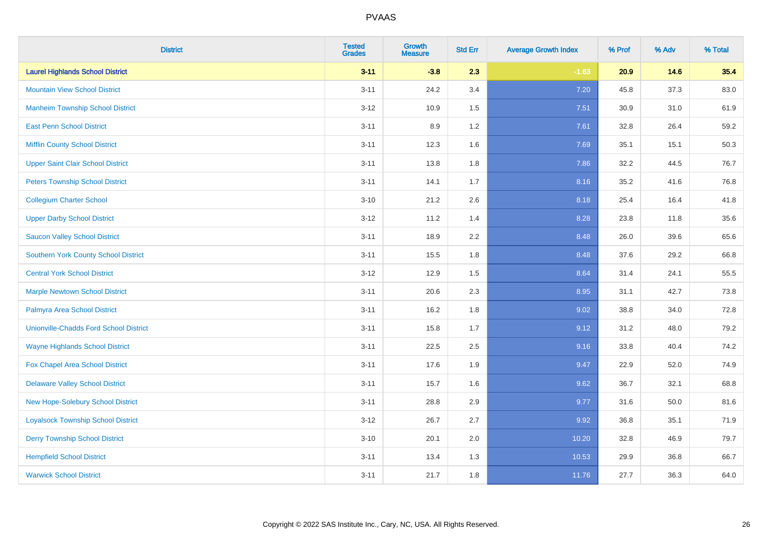| <b>District</b>                               | <b>Tested</b><br><b>Grades</b> | <b>Growth</b><br><b>Measure</b> | <b>Std Err</b> | <b>Average Growth Index</b> | % Prof | % Adv | % Total |
|-----------------------------------------------|--------------------------------|---------------------------------|----------------|-----------------------------|--------|-------|---------|
| <b>Laurel Highlands School District</b>       | $3 - 11$                       | $-3.8$                          | 2.3            | $-1.63$                     | 20.9   | 14.6  | 35.4    |
| <b>Mountain View School District</b>          | $3 - 11$                       | 24.2                            | 3.4            | 7.20                        | 45.8   | 37.3  | 83.0    |
| <b>Manheim Township School District</b>       | $3 - 12$                       | 10.9                            | 1.5            | 7.51                        | 30.9   | 31.0  | 61.9    |
| <b>East Penn School District</b>              | $3 - 11$                       | 8.9                             | 1.2            | 7.61                        | 32.8   | 26.4  | 59.2    |
| <b>Mifflin County School District</b>         | $3 - 11$                       | 12.3                            | 1.6            | 7.69                        | 35.1   | 15.1  | 50.3    |
| <b>Upper Saint Clair School District</b>      | $3 - 11$                       | 13.8                            | 1.8            | 7.86                        | 32.2   | 44.5  | 76.7    |
| <b>Peters Township School District</b>        | $3 - 11$                       | 14.1                            | 1.7            | 8.16                        | 35.2   | 41.6  | 76.8    |
| <b>Collegium Charter School</b>               | $3 - 10$                       | 21.2                            | 2.6            | 8.18                        | 25.4   | 16.4  | 41.8    |
| <b>Upper Darby School District</b>            | $3-12$                         | 11.2                            | 1.4            | 8.28                        | 23.8   | 11.8  | 35.6    |
| <b>Saucon Valley School District</b>          | $3 - 11$                       | 18.9                            | 2.2            | 8.48                        | 26.0   | 39.6  | 65.6    |
| <b>Southern York County School District</b>   | $3 - 11$                       | 15.5                            | 1.8            | 8.48                        | 37.6   | 29.2  | 66.8    |
| <b>Central York School District</b>           | $3 - 12$                       | 12.9                            | 1.5            | 8.64                        | 31.4   | 24.1  | 55.5    |
| <b>Marple Newtown School District</b>         | $3 - 11$                       | 20.6                            | 2.3            | 8.95                        | 31.1   | 42.7  | 73.8    |
| Palmyra Area School District                  | $3 - 11$                       | 16.2                            | 1.8            | 9.02                        | 38.8   | 34.0  | 72.8    |
| <b>Unionville-Chadds Ford School District</b> | $3 - 11$                       | 15.8                            | 1.7            | 9.12                        | 31.2   | 48.0  | 79.2    |
| <b>Wayne Highlands School District</b>        | $3 - 11$                       | 22.5                            | 2.5            | 9.16                        | 33.8   | 40.4  | 74.2    |
| Fox Chapel Area School District               | $3 - 11$                       | 17.6                            | 1.9            | 9.47                        | 22.9   | 52.0  | 74.9    |
| <b>Delaware Valley School District</b>        | $3 - 11$                       | 15.7                            | 1.6            | 9.62                        | 36.7   | 32.1  | 68.8    |
| <b>New Hope-Solebury School District</b>      | $3 - 11$                       | 28.8                            | 2.9            | 9.77                        | 31.6   | 50.0  | 81.6    |
| <b>Loyalsock Township School District</b>     | $3 - 12$                       | 26.7                            | 2.7            | 9.92                        | 36.8   | 35.1  | 71.9    |
| <b>Derry Township School District</b>         | $3 - 10$                       | 20.1                            | 2.0            | 10.20                       | 32.8   | 46.9  | 79.7    |
| <b>Hempfield School District</b>              | $3 - 11$                       | 13.4                            | 1.3            | 10.53                       | 29.9   | 36.8  | 66.7    |
| <b>Warwick School District</b>                | $3 - 11$                       | 21.7                            | 1.8            | 11.76                       | 27.7   | 36.3  | 64.0    |